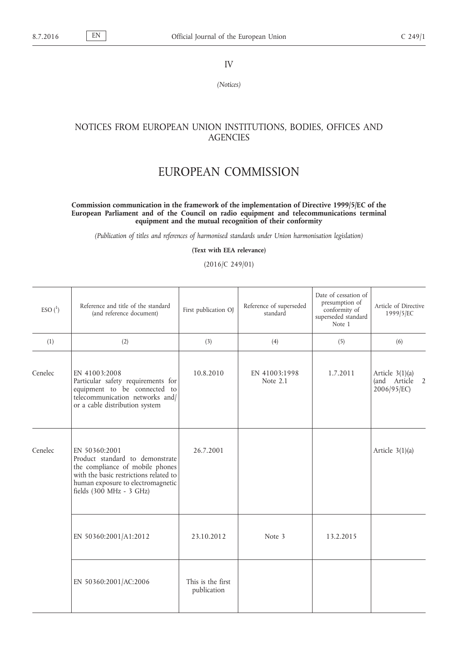IV

*(Notices)*

## NOTICES FROM EUROPEAN UNION INSTITUTIONS, BODIES, OFFICES AND **AGENCIES**

## EUROPEAN COMMISSION

## **Commission communication in the framework of the implementation of Directive 1999/5/EC of the European Parliament and of the Council on radio equipment and telecommunications terminal equipment and the mutual recognition of their conformity**

*(Publication of titles and references of harmonised standards under Union harmonisation legislation)*

**(Text with EEA relevance)**

(2016/C 249/01)

| $ESO(^{1})$ | Reference and title of the standard<br>(and reference document)                                                                                                                                | First publication OJ             | Reference of superseded<br>standard | Date of cessation of<br>presumption of<br>conformity of<br>superseded standard<br>Note 1 | Article of Directive<br>1999/5/EC                  |
|-------------|------------------------------------------------------------------------------------------------------------------------------------------------------------------------------------------------|----------------------------------|-------------------------------------|------------------------------------------------------------------------------------------|----------------------------------------------------|
| (1)         | (2)                                                                                                                                                                                            | (3)                              | (4)                                 | (5)                                                                                      | (6)                                                |
| Cenelec     | EN 41003:2008<br>Particular safety requirements for<br>equipment to be connected to<br>telecommunication networks and/<br>or a cable distribution system                                       | 10.8.2010                        | EN 41003:1998<br>Note 2.1           | 1.7.2011                                                                                 | Article $3(1)(a)$<br>(and Article 2<br>2006/95/EC) |
| Cenelec     | EN 50360:2001<br>Product standard to demonstrate<br>the compliance of mobile phones<br>with the basic restrictions related to<br>human exposure to electromagnetic<br>fields (300 MHz - 3 GHz) | 26.7.2001                        |                                     |                                                                                          | Article $3(1)(a)$                                  |
|             | EN 50360:2001/A1:2012                                                                                                                                                                          | 23.10.2012                       | Note 3                              | 13.2.2015                                                                                |                                                    |
|             | EN 50360:2001/AC:2006                                                                                                                                                                          | This is the first<br>publication |                                     |                                                                                          |                                                    |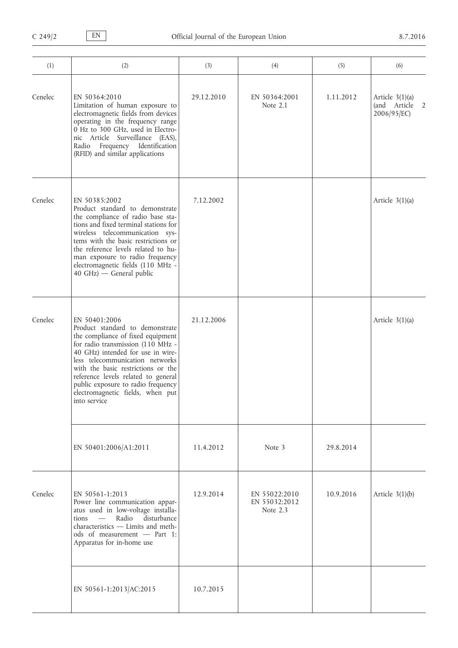| (1)     | (2)                                                                                                                                                                                                                                                                                                                                                                       | (3)        | (4)                                        | (5)       | (6)                                                   |
|---------|---------------------------------------------------------------------------------------------------------------------------------------------------------------------------------------------------------------------------------------------------------------------------------------------------------------------------------------------------------------------------|------------|--------------------------------------------|-----------|-------------------------------------------------------|
| Cenelec | EN 50364:2010<br>Limitation of human exposure to<br>electromagnetic fields from devices<br>operating in the frequency range<br>0 Hz to 300 GHz, used in Electro-<br>nic Article Surveillance (EAS),<br>Radio Frequency Identification<br>(RFID) and similar applications                                                                                                  | 29.12.2010 | EN 50364:2001<br>Note 2.1                  | 1.11.2012 | Article $3(1)(a)$<br>(and Article<br>2<br>2006/95/EC) |
| Cenelec | EN 50385:2002<br>Product standard to demonstrate<br>the compliance of radio base sta-<br>tions and fixed terminal stations for<br>wireless telecommunication sys-<br>tems with the basic restrictions or<br>the reference levels related to hu-<br>man exposure to radio frequency<br>electromagnetic fields (110 MHz -<br>40 GHz) - General public                       | 7.12.2002  |                                            |           | Article $3(1)(a)$                                     |
| Cenelec | EN 50401:2006<br>Product standard to demonstrate<br>the compliance of fixed equipment<br>for radio transmission (110 MHz -<br>40 GHz) intended for use in wire-<br>less telecommunication networks<br>with the basic restrictions or the<br>reference levels related to general<br>public exposure to radio frequency<br>electromagnetic fields, when put<br>into service | 21.12.2006 |                                            |           | Article $3(1)(a)$                                     |
|         | EN 50401:2006/A1:2011                                                                                                                                                                                                                                                                                                                                                     | 11.4.2012  | Note 3                                     | 29.8.2014 |                                                       |
| Cenelec | EN 50561-1:2013<br>Power line communication appar-<br>atus used in low-voltage installa-<br>disturbance<br>tions — Radio<br>characteristics - Limits and meth-<br>ods of measurement - Part 1:<br>Apparatus for in-home use                                                                                                                                               | 12.9.2014  | EN 55022:2010<br>EN 55032:2012<br>Note 2.3 | 10.9.2016 | Article $3(1)(b)$                                     |
|         | EN 50561-1:2013/AC:2015                                                                                                                                                                                                                                                                                                                                                   | 10.7.2015  |                                            |           |                                                       |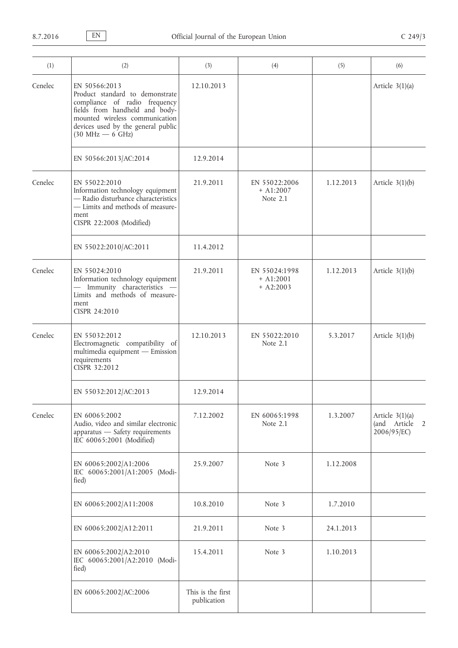| (1)     | (2)                                                                                                                                                                                                               | (3)                              | (4)                                         | (5)       | (6)                                                |
|---------|-------------------------------------------------------------------------------------------------------------------------------------------------------------------------------------------------------------------|----------------------------------|---------------------------------------------|-----------|----------------------------------------------------|
| Cenelec | EN 50566:2013<br>Product standard to demonstrate<br>compliance of radio frequency<br>fields from handheld and body-<br>mounted wireless communication<br>devices used by the general public<br>$(30 MHz - 6 GHz)$ | 12.10.2013                       |                                             |           | Article $3(1)(a)$                                  |
|         | EN 50566:2013/AC:2014                                                                                                                                                                                             | 12.9.2014                        |                                             |           |                                                    |
| Cenelec | EN 55022:2010<br>Information technology equipment<br>- Radio disturbance characteristics<br>- Limits and methods of measure-<br>ment<br>CISPR 22:2008 (Modified)                                                  | 21.9.2011                        | EN 55022:2006<br>$+$ A1:2007<br>Note 2.1    | 1.12.2013 | Article $3(1)(b)$                                  |
|         | EN 55022:2010/AC:2011                                                                                                                                                                                             | 11.4.2012                        |                                             |           |                                                    |
| Cenelec | EN 55024:2010<br>Information technology equipment<br>Immunity characteristics -<br>Limits and methods of measure-<br>ment<br>CISPR 24:2010                                                                        | 21.9.2011                        | EN 55024:1998<br>$+$ A1:2001<br>$+ A2:2003$ | 1.12.2013 | Article $3(1)(b)$                                  |
| Cenelec | EN 55032:2012<br>Electromagnetic compatibility of<br>multimedia equipment - Emission<br>requirements<br>CISPR 32:2012                                                                                             | 12.10.2013                       | EN 55022:2010<br>Note 2.1                   | 5.3.2017  | Article $3(1)(b)$                                  |
|         | EN 55032:2012/AC:2013                                                                                                                                                                                             | 12.9.2014                        |                                             |           |                                                    |
| Cenelec | EN 60065:2002<br>Audio, video and similar electronic<br>apparatus - Safety requirements<br>IEC 60065:2001 (Modified)                                                                                              | 7.12.2002                        | EN 60065:1998<br>Note 2.1                   | 1.3.2007  | Article $3(1)(a)$<br>(and Article 2<br>2006/95/EC) |
|         | EN 60065:2002/A1:2006<br>IEC 60065:2001/A1:2005 (Modi-<br>fied)                                                                                                                                                   | 25.9.2007                        | Note 3                                      | 1.12.2008 |                                                    |
|         | EN 60065:2002/A11:2008                                                                                                                                                                                            | 10.8.2010                        | Note 3                                      | 1.7.2010  |                                                    |
|         | EN 60065:2002/A12:2011                                                                                                                                                                                            | 21.9.2011                        | Note 3                                      | 24.1.2013 |                                                    |
|         | EN 60065:2002/A2:2010<br>IEC 60065:2001/A2:2010 (Modi-<br>fied)                                                                                                                                                   | 15.4.2011                        | Note 3                                      | 1.10.2013 |                                                    |
|         | EN 60065:2002/AC:2006                                                                                                                                                                                             | This is the first<br>publication |                                             |           |                                                    |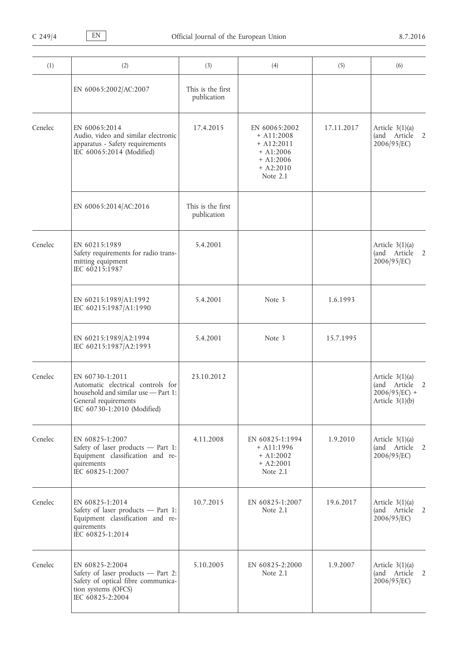| (1)     | (2)                                                                                                                                                | (3)                              | (4)                                                                                                    | (5)        | (6)                                                                          |
|---------|----------------------------------------------------------------------------------------------------------------------------------------------------|----------------------------------|--------------------------------------------------------------------------------------------------------|------------|------------------------------------------------------------------------------|
|         | EN 60065:2002/AC:2007                                                                                                                              | This is the first<br>publication |                                                                                                        |            |                                                                              |
| Cenelec | EN 60065:2014<br>Audio, video and similar electronic<br>apparatus - Safety requirements<br>IEC 60065:2014 (Modified)                               | 17.4.2015                        | EN 60065:2002<br>$+$ A11:2008<br>$+$ A12:2011<br>$+$ A1:2006<br>$+$ A1:2006<br>$+ A2:2010$<br>Note 2.1 | 17.11.2017 | Article $3(1)(a)$<br>(and Article 2<br>2006/95/EC)                           |
|         | EN 60065:2014/AC:2016                                                                                                                              | This is the first<br>publication |                                                                                                        |            |                                                                              |
| Cenelec | EN 60215:1989<br>Safety requirements for radio trans-<br>mitting equipment<br>IEC 60215:1987                                                       | 5.4.2001                         |                                                                                                        |            | Article $3(1)(a)$<br>(and Article 2<br>2006/95/EC)                           |
|         | EN 60215:1989/A1:1992<br>IEC 60215:1987/A1:1990                                                                                                    | 5.4.2001                         | Note 3                                                                                                 | 1.6.1993   |                                                                              |
|         | EN 60215:1989/A2:1994<br>IEC 60215:1987/A2:1993                                                                                                    | 5.4.2001                         | Note 3                                                                                                 | 15.7.1995  |                                                                              |
| Cenelec | EN 60730-1:2011<br>Automatic electrical controls for<br>household and similar use - Part 1:<br>General requirements<br>IEC 60730-1:2010 (Modified) | 23.10.2012                       |                                                                                                        |            | Article $3(1)(a)$<br>(and Article 2<br>$2006/95/EC$ ) +<br>Article $3(1)(b)$ |
| Cenelec | EN 60825-1:2007<br>Safety of laser products - Part 1:<br>Equipment classification and re-<br>quirements<br>IEC 60825-1:2007                        | 4.11.2008                        | EN 60825-1:1994<br>$+$ A11:1996<br>$+$ A1:2002<br>$+ A2:2001$<br>Note 2.1                              | 1.9.2010   | Article $3(1)(a)$<br>(and Article 2<br>2006/95/EC)                           |
| Cenelec | EN 60825-1:2014<br>Safety of laser products - Part 1:<br>Equipment classification and re-<br>quirements<br>IEC 60825-1:2014                        | 10.7.2015                        | EN 60825-1:2007<br>Note 2.1                                                                            | 19.6.2017  | Article $3(1)(a)$<br>(and Article 2<br>2006/95/EC)                           |
| Cenelec | EN 60825-2:2004<br>Safety of laser products - Part 2:<br>Safety of optical fibre communica-<br>tion systems (OFCS)<br>IEC 60825-2:2004             | 5.10.2005                        | EN 60825-2:2000<br>Note 2.1                                                                            | 1.9.2007   | Article $3(1)(a)$<br>(and Article 2<br>2006/95/EC)                           |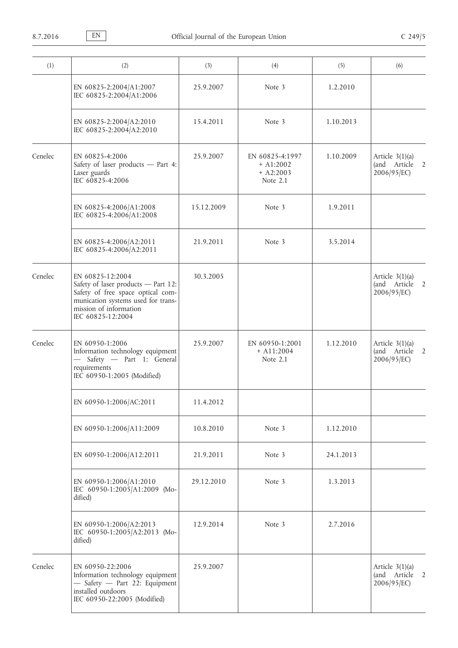| (1)     | (2)                                                                                                                                                                               | (3)        | (4)                                                       | (5)       | (6)                                                |
|---------|-----------------------------------------------------------------------------------------------------------------------------------------------------------------------------------|------------|-----------------------------------------------------------|-----------|----------------------------------------------------|
|         | EN 60825-2:2004/A1:2007<br>IEC 60825-2:2004/A1:2006                                                                                                                               | 25.9.2007  | Note 3                                                    | 1.2.2010  |                                                    |
|         | EN 60825-2:2004/A2:2010<br>IEC 60825-2:2004/A2:2010                                                                                                                               | 15.4.2011  | Note 3                                                    | 1.10.2013 |                                                    |
| Cenelec | EN 60825-4:2006<br>Safety of laser products - Part 4:<br>Laser guards<br>IEC 60825-4:2006                                                                                         | 25.9.2007  | EN 60825-4:1997<br>$+$ A1:2002<br>$+ A2:2003$<br>Note 2.1 | 1.10.2009 | Article $3(1)(a)$<br>(and Article 2<br>2006/95/EC) |
|         | EN 60825-4:2006/A1:2008<br>IEC 60825-4:2006/A1:2008                                                                                                                               | 15.12.2009 | Note 3                                                    | 1.9.2011  |                                                    |
|         | EN 60825-4:2006/A2:2011<br>IEC 60825-4:2006/A2:2011                                                                                                                               | 21.9.2011  | Note 3                                                    | 3.5.2014  |                                                    |
| Cenelec | EN 60825-12:2004<br>Safety of laser products - Part 12:<br>Safety of free space optical com-<br>munication systems used for trans-<br>mission of information<br>IEC 60825-12:2004 | 30.3.2005  |                                                           |           | Article $3(1)(a)$<br>(and Article 2<br>2006/95/EC) |
| Cenelec | EN 60950-1:2006<br>Information technology equipment<br>Safety - Part 1: General<br>requirements<br>IEC 60950-1:2005 (Modified)                                                    | 25.9.2007  | EN 60950-1:2001<br>$+$ A11:2004<br>Note 2.1               | 1.12.2010 | Article $3(1)(a)$<br>(and Article 2<br>2006/95/EC) |
|         | EN 60950-1:2006/AC:2011                                                                                                                                                           | 11.4.2012  |                                                           |           |                                                    |
|         | EN 60950-1:2006/A11:2009                                                                                                                                                          | 10.8.2010  | Note 3                                                    | 1.12.2010 |                                                    |
|         | EN 60950-1:2006/A12:2011                                                                                                                                                          | 21.9.2011  | Note 3                                                    | 24.1.2013 |                                                    |
|         | EN 60950-1:2006/A1:2010<br>IEC 60950-1:2005/A1:2009 (Mo-<br>dified)                                                                                                               | 29.12.2010 | Note 3                                                    | 1.3.2013  |                                                    |
|         | EN 60950-1:2006/A2:2013<br>IEC 60950-1:2005/A2:2013 (Mo-<br>dified)                                                                                                               | 12.9.2014  | Note 3                                                    | 2.7.2016  |                                                    |
| Cenelec | EN 60950-22:2006<br>Information technology equipment<br>- Safety - Part 22: Equipment<br>installed outdoors<br>IEC 60950-22:2005 (Modified)                                       | 25.9.2007  |                                                           |           | Article $3(1)(a)$<br>(and Article 2<br>2006/95/EC) |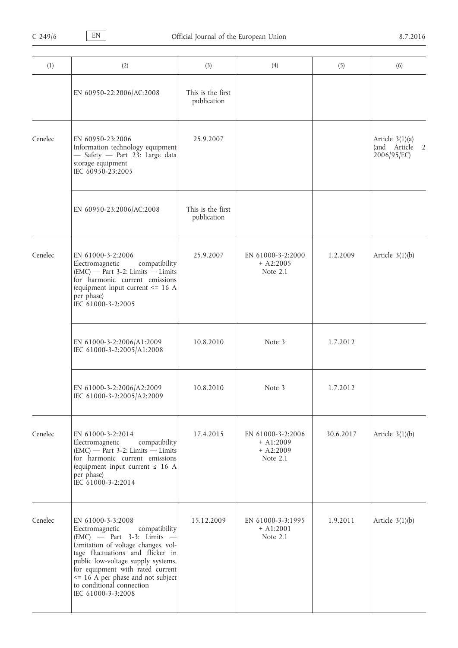| (1)     | (2)                                                                                                                                                                                                                                                                                                                                    | (3)                              | (4)                                                         | (5)       | (6)                                                                |
|---------|----------------------------------------------------------------------------------------------------------------------------------------------------------------------------------------------------------------------------------------------------------------------------------------------------------------------------------------|----------------------------------|-------------------------------------------------------------|-----------|--------------------------------------------------------------------|
|         | EN 60950-22:2006/AC:2008                                                                                                                                                                                                                                                                                                               | This is the first<br>publication |                                                             |           |                                                                    |
| Cenelec | EN 60950-23:2006<br>Information technology equipment<br>- Safety - Part 23: Large data<br>storage equipment<br>IEC 60950-23:2005                                                                                                                                                                                                       | 25.9.2007                        |                                                             |           | Article $3(1)(a)$<br>(and Article<br>$\overline{2}$<br>2006/95/EC) |
|         | EN 60950-23:2006/AC:2008                                                                                                                                                                                                                                                                                                               | This is the first<br>publication |                                                             |           |                                                                    |
| Cenelec | EN 61000-3-2:2006<br>Electromagnetic<br>compatibility<br>$(EMC)$ - Part 3-2: Limits - Limits<br>for harmonic current emissions<br>(equipment input current <= 16 A<br>per phase)<br>IEC 61000-3-2:2005                                                                                                                                 | 25.9.2007                        | EN 61000-3-2:2000<br>$+ A2:2005$<br>Note 2.1                | 1.2.2009  | Article $3(1)(b)$                                                  |
|         | EN 61000-3-2:2006/A1:2009<br>IEC 61000-3-2:2005/A1:2008                                                                                                                                                                                                                                                                                | 10.8.2010                        | Note 3                                                      | 1.7.2012  |                                                                    |
|         | EN 61000-3-2:2006/A2:2009<br>IEC 61000-3-2:2005/A2:2009                                                                                                                                                                                                                                                                                | 10.8.2010                        | Note 3                                                      | 1.7.2012  |                                                                    |
| Cenelec | EN 61000-3-2:2014<br>Electromagnetic<br>compatibility<br>$(EMC)$ - Part 3-2: Limits - Limits<br>for harmonic current emissions<br>(equipment input current $\leq 16$ A<br>per phase)<br>IEC 61000-3-2:2014                                                                                                                             | 17.4.2015                        | EN 61000-3-2:2006<br>$+$ A1:2009<br>$+ A2:2009$<br>Note 2.1 | 30.6.2017 | Article $3(1)(b)$                                                  |
| Cenelec | EN 61000-3-3:2008<br>compatibility<br>Electromagnetic<br>$(EMC)$ - Part 3-3: Limits -<br>Limitation of voltage changes, vol-<br>tage fluctuations and flicker in<br>public low-voltage supply systems,<br>for equipment with rated current<br>$\leq$ 16 A per phase and not subject<br>to conditional connection<br>IEC 61000-3-3:2008 | 15.12.2009                       | EN 61000-3-3:1995<br>$+$ A1:2001<br>Note $2.1$              | 1.9.2011  | Article $3(1)(b)$                                                  |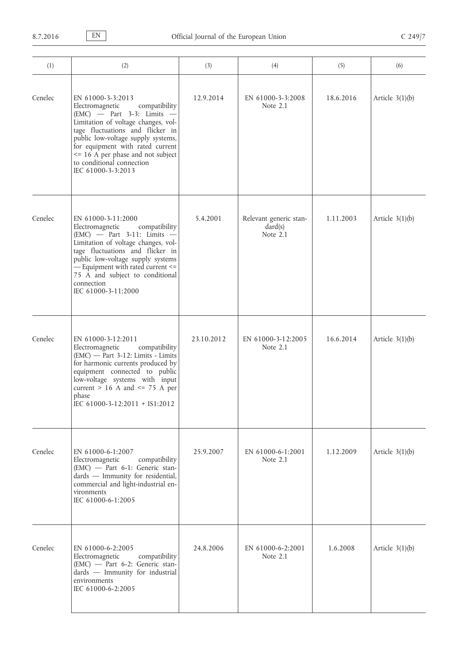| (1)     | (2)                                                                                                                                                                                                                                                                                                                                    | (3)        | (4)                                           | (5)       | (6)               |
|---------|----------------------------------------------------------------------------------------------------------------------------------------------------------------------------------------------------------------------------------------------------------------------------------------------------------------------------------------|------------|-----------------------------------------------|-----------|-------------------|
| Cenelec | EN 61000-3-3:2013<br>compatibility<br>Electromagnetic<br>$(EMC)$ - Part 3-3: Limits -<br>Limitation of voltage changes, vol-<br>tage fluctuations and flicker in<br>public low-voltage supply systems,<br>for equipment with rated current<br>$\leq$ 16 A per phase and not subject<br>to conditional connection<br>IEC 61000-3-3:2013 | 12.9.2014  | EN 61000-3-3:2008<br>Note 2.1                 | 18.6.2016 | Article $3(1)(b)$ |
| Cenelec | EN 61000-3-11:2000<br>Electromagnetic<br>compatibility<br>$(EMC)$ - Part 3-11: Limits -<br>Limitation of voltage changes, vol-<br>tage fluctuations and flicker in<br>public low-voltage supply systems<br>- Equipment with rated current <=<br>75 A and subject to conditional<br>connection<br>IEC 61000-3-11:2000                   | 5.4.2001   | Relevant generic stan-<br>dard(s)<br>Note 2.1 | 1.11.2003 | Article $3(1)(b)$ |
| Cenelec | EN 61000-3-12:2011<br>Electromagnetic<br>compatibility<br>(EMC) — Part 3-12: Limits - Limits<br>for harmonic currents produced by<br>equipment connected to public<br>low-voltage systems with input<br>current $> 16$ A and $\leq 75$ A per<br>phase<br>IEC 61000-3-12:2011 + IS1:2012                                                | 23.10.2012 | EN 61000-3-12:2005<br>Note 2.1                | 16.6.2014 | Article $3(1)(b)$ |
| Cenelec | EN 61000-6-1:2007<br>compatibility<br>Electromagnetic<br>(EMC) - Part 6-1: Generic stan-<br>dards - Immunity for residential,<br>commercial and light-industrial en-<br>vironments<br>IEC 61000-6-1:2005                                                                                                                               | 25.9.2007  | EN 61000-6-1:2001<br>Note 2.1                 | 1.12.2009 | Article $3(1)(b)$ |
| Cenelec | EN 61000-6-2:2005<br>Electromagnetic<br>compatibility<br>(EMC) - Part 6-2: Generic stan-<br>dards - Immunity for industrial<br>environments<br>IEC 61000-6-2:2005                                                                                                                                                                      | 24.8.2006  | EN 61000-6-2:2001<br>Note 2.1                 | 1.6.2008  | Article $3(1)(b)$ |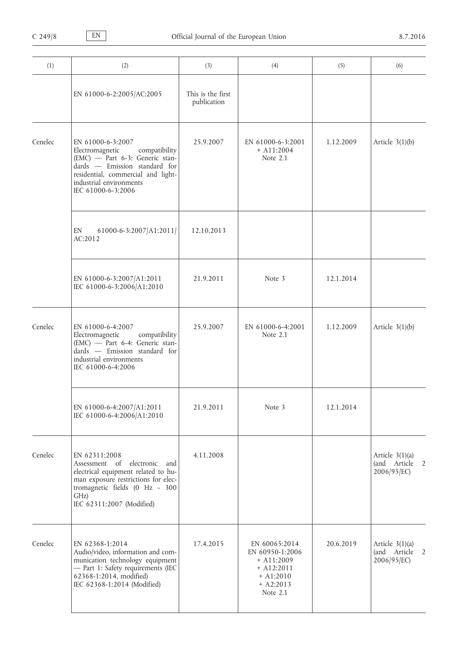| (1)     | (2)                                                                                                                                                                                                              | (3)                                                                                                                                                                                                                                                                    | (4)                                           | (5)       | (6)                                                |
|---------|------------------------------------------------------------------------------------------------------------------------------------------------------------------------------------------------------------------|------------------------------------------------------------------------------------------------------------------------------------------------------------------------------------------------------------------------------------------------------------------------|-----------------------------------------------|-----------|----------------------------------------------------|
|         | EN 61000-6-2:2005/AC:2005                                                                                                                                                                                        | This is the first<br>publication                                                                                                                                                                                                                                       |                                               |           |                                                    |
| Cenelec | EN 61000-6-3:2007<br>compatibility<br>Electromagnetic<br>(EMC) - Part 6-3: Generic stan-<br>dards - Emission standard for<br>residential, commercial and light-<br>industrial environments<br>IEC 61000-6-3:2006 | 25.9.2007                                                                                                                                                                                                                                                              | EN 61000-6-3:2001<br>$+$ A11:2004<br>Note 2.1 | 1.12.2009 | Article $3(1)(b)$                                  |
|         | EN<br>61000-6-3:2007/A1:2011/<br>AC:2012                                                                                                                                                                         | 12.10.2013<br>21.9.2011<br>Note 3<br>25.9.2007<br>EN 61000-6-4:2001<br>Note 2.1<br>compatibility<br>21.9.2011<br>Note 3<br>4.11.2008<br>and<br>17.4.2015<br>EN 60065:2014<br>EN 60950-1:2006<br>$+$ A11:2009<br>$+$ A12:2011<br>$+$ A1:2010<br>$+ A2:2013$<br>Note 2.1 |                                               |           |                                                    |
|         | EN 61000-6-3:2007/A1:2011<br>IEC 61000-6-3:2006/A1:2010                                                                                                                                                          |                                                                                                                                                                                                                                                                        |                                               | 12.1.2014 |                                                    |
| Cenelec | EN 61000-6-4:2007<br>Electromagnetic<br>(EMC) - Part 6-4: Generic stan-<br>dards - Emission standard for<br>industrial environments<br>IEC 61000-6-4:2006                                                        |                                                                                                                                                                                                                                                                        |                                               | 1.12.2009 | Article $3(1)(b)$                                  |
|         | EN 61000-6-4:2007/A1:2011<br>IEC 61000-6-4:2006/A1:2010                                                                                                                                                          |                                                                                                                                                                                                                                                                        |                                               | 12.1.2014 |                                                    |
| Cenelec | EN 62311:2008<br>Assessment of electronic<br>electrical equipment related to hu-<br>man exposure restrictions for elec-<br>tromagnetic fields (0 Hz - 300<br>GHz)<br>IEC 62311:2007 (Modified)                   |                                                                                                                                                                                                                                                                        |                                               |           | Article $3(1)(a)$<br>(and Article 2<br>2006/95/EC) |
| Cenelec | EN 62368-1:2014<br>Audio/video, information and com-<br>munication technology equipment<br>- Part 1: Safety requirements (IEC<br>62368-1:2014, modified)<br>IEC 62368-1:2014 (Modified)                          |                                                                                                                                                                                                                                                                        |                                               | 20.6.2019 | Article $3(1)(a)$<br>(and Article 2<br>2006/95/EC) |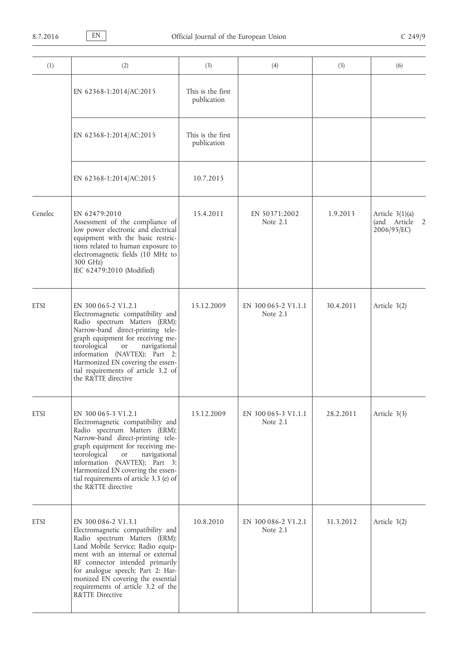| (1)         | (2)                                                                                                                                                                                                                                                                                                                                                  | (3)                              | (4)                               | (5)       | (6)                                                                |
|-------------|------------------------------------------------------------------------------------------------------------------------------------------------------------------------------------------------------------------------------------------------------------------------------------------------------------------------------------------------------|----------------------------------|-----------------------------------|-----------|--------------------------------------------------------------------|
|             | EN 62368-1:2014/AC:2015                                                                                                                                                                                                                                                                                                                              | This is the first<br>publication |                                   |           |                                                                    |
|             | EN 62368-1:2014/AC:2015                                                                                                                                                                                                                                                                                                                              | This is the first<br>publication |                                   |           |                                                                    |
|             | EN 62368-1:2014/AC:2015                                                                                                                                                                                                                                                                                                                              | 10.7.2015                        |                                   |           |                                                                    |
| Cenelec     | EN 62479:2010<br>Assessment of the compliance of<br>low power electronic and electrical<br>equipment with the basic restric-<br>tions related to human exposure to<br>electromagnetic fields (10 MHz to<br>300 GHz)<br>IEC 62479:2010 (Modified)                                                                                                     | 15.4.2011                        | EN 50371:2002<br>Note 2.1         | 1.9.2013  | Article $3(1)(a)$<br>(and Article<br>$\overline{2}$<br>2006/95/EC) |
| <b>ETSI</b> | EN 300 065-2 V1.2.1<br>Electromagnetic compatibility and<br>Radio spectrum Matters (ERM);<br>Narrow-band direct-printing tele-<br>graph equipment for receiving me-<br>teorological<br>navigational<br><b>or</b><br>information (NAVTEX); Part 2:<br>Harmonized EN covering the essen-<br>tial requirements of article 3.2 of<br>the R&TTE directive | 15.12.2009                       | EN 300 065-2 V1.1.1<br>Note 2.1   | 30.4.2011 | Article 3(2)                                                       |
| <b>ETSI</b> | EN 300 065-3 V1.2.1<br>Electromagnetic compatibility and<br>Radio spectrum Matters (ERM);<br>Narrow-band direct-printing tele-<br>graph equipment for receiving me-<br>teorological<br>navigational<br>or<br>information (NAVTEX); Part 3:<br>Harmonized EN covering the essen-<br>tial requirements of article 3.3 (e) of<br>the R&TTE directive    | 15.12.2009                       | EN 300 065-3 V1.1.1<br>Note $2.1$ | 28.2.2011 | Article 3(3)                                                       |
| <b>ETSI</b> | EN 300 086-2 V1.3.1<br>Electromagnetic compatibility and<br>Radio spectrum Matters (ERM);<br>Land Mobile Service; Radio equip-<br>ment with an internal or external<br>RF connector intended primarily<br>for analogue speech; Part 2: Har-<br>monized EN covering the essential<br>requirements of article 3.2 of the<br><b>R&amp;TTE Directive</b> | 10.8.2010                        | EN 300 086-2 V1.2.1<br>Note $2.1$ | 31.3.2012 | Article 3(2)                                                       |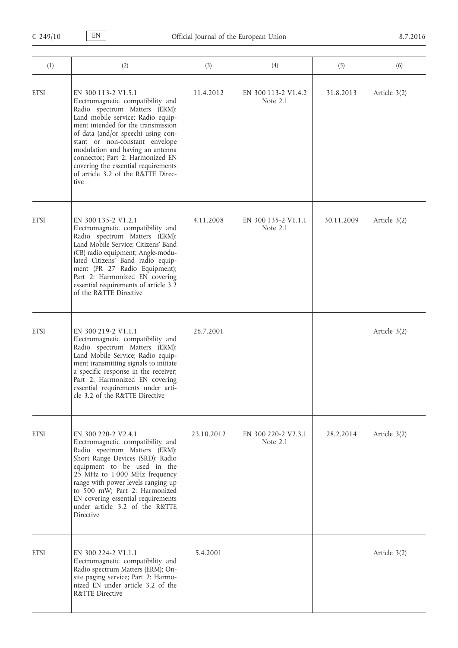| (1)         | (2)                                                                                                                                                                                                                                                                                                                                                                                                       | (3)        | (4)                               | (5)        | (6)          |
|-------------|-----------------------------------------------------------------------------------------------------------------------------------------------------------------------------------------------------------------------------------------------------------------------------------------------------------------------------------------------------------------------------------------------------------|------------|-----------------------------------|------------|--------------|
| <b>ETSI</b> | EN 300 113-2 V1.5.1<br>Electromagnetic compatibility and<br>Radio spectrum Matters (ERM);<br>Land mobile service; Radio equip-<br>ment intended for the transmission<br>of data (and/or speech) using con-<br>stant or non-constant envelope<br>modulation and having an antenna<br>connector; Part 2: Harmonized EN<br>covering the essential requirements<br>of article 3.2 of the R&TTE Direc-<br>tive | 11.4.2012  | EN 300 113-2 V1.4.2<br>Note $2.1$ | 31.8.2013  | Article 3(2) |
| <b>ETSI</b> | EN 300 135-2 V1.2.1<br>Electromagnetic compatibility and<br>Radio spectrum Matters (ERM);<br>Land Mobile Service; Citizens' Band<br>(CB) radio equipment; Angle-modu-<br>lated Citizens' Band radio equip-<br>ment (PR 27 Radio Equipment);<br>Part 2: Harmonized EN covering<br>essential requirements of article 3.2<br>of the R&TTE Directive                                                          | 4.11.2008  | EN 300 135-2 V1.1.1<br>Note $2.1$ | 30.11.2009 | Article 3(2) |
| <b>ETSI</b> | EN 300 219-2 V1.1.1<br>Electromagnetic compatibility and<br>Radio spectrum Matters (ERM);<br>Land Mobile Service; Radio equip-<br>ment transmitting signals to initiate<br>a specific response in the receiver;<br>Part 2: Harmonized EN covering<br>essential requirements under arti-<br>cle 3.2 of the R&TTE Directive                                                                                 | 26.7.2001  |                                   |            | Article 3(2) |
| <b>ETSI</b> | EN 300 220-2 V2.4.1<br>Electromagnetic compatibility and<br>Radio spectrum Matters (ERM);<br>Short Range Devices (SRD); Radio<br>equipment to be used in the<br>25 MHz to 1000 MHz frequency<br>range with power levels ranging up<br>to 500 mW; Part 2: Harmonized<br>EN covering essential requirements<br>under article 3.2 of the R&TTE<br><b>Directive</b>                                           | 23.10.2012 | EN 300 220-2 V2.3.1<br>Note $2.1$ | 28.2.2014  | Article 3(2) |
| <b>ETSI</b> | EN 300 224-2 V1.1.1<br>Electromagnetic compatibility and<br>Radio spectrum Matters (ERM); On-<br>site paging service; Part 2: Harmo-<br>nized EN under article 3.2 of the<br><b>R&amp;TTE Directive</b>                                                                                                                                                                                                   | 5.4.2001   |                                   |            | Article 3(2) |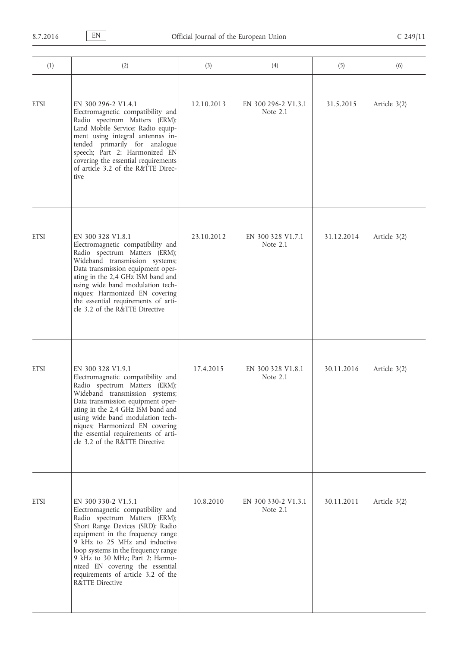| (1)         | (2)                                                                                                                                                                                                                                                                                                                                                                      | (3)        | (4)                               | (5)        | (6)          |
|-------------|--------------------------------------------------------------------------------------------------------------------------------------------------------------------------------------------------------------------------------------------------------------------------------------------------------------------------------------------------------------------------|------------|-----------------------------------|------------|--------------|
| <b>ETSI</b> | EN 300 296-2 V1.4.1<br>Electromagnetic compatibility and<br>Radio spectrum Matters (ERM);<br>Land Mobile Service; Radio equip-<br>ment using integral antennas in-<br>tended primarily for analogue<br>speech; Part 2: Harmonized EN<br>covering the essential requirements<br>of article 3.2 of the R&TTE Direc-<br>tive                                                | 12.10.2013 | EN 300 296-2 V1.3.1<br>Note $2.1$ | 31.5.2015  | Article 3(2) |
| <b>ETSI</b> | EN 300 328 V1.8.1<br>Electromagnetic compatibility and<br>Radio spectrum Matters (ERM);<br>Wideband transmission systems;<br>Data transmission equipment oper-<br>ating in the 2,4 GHz ISM band and<br>using wide band modulation tech-<br>niques; Harmonized EN covering<br>the essential requirements of arti-<br>cle 3.2 of the R&TTE Directive                       | 23.10.2012 | EN 300 328 V1.7.1<br>Note 2.1     | 31.12.2014 | Article 3(2) |
| <b>ETSI</b> | EN 300 328 V1.9.1<br>Electromagnetic compatibility and<br>Radio spectrum Matters (ERM);<br>Wideband transmission systems;<br>Data transmission equipment oper-<br>ating in the 2,4 GHz ISM band and<br>using wide band modulation tech-<br>niques; Harmonized EN covering<br>the essential requirements of arti-<br>cle 3.2 of the R&TTE Directive                       | 17.4.2015  | EN 300 328 V1.8.1<br>Note 2.1     | 30.11.2016 | Article 3(2) |
| <b>ETSI</b> | EN 300 330-2 V1.5.1<br>Electromagnetic compatibility and<br>Radio spectrum Matters (ERM);<br>Short Range Devices (SRD); Radio<br>equipment in the frequency range<br>9 kHz to 25 MHz and inductive<br>loop systems in the frequency range<br>9 kHz to 30 MHz; Part 2: Harmo-<br>nized EN covering the essential<br>requirements of article 3.2 of the<br>R&TTE Directive | 10.8.2010  | EN 300 330-2 V1.3.1<br>Note 2.1   | 30.11.2011 | Article 3(2) |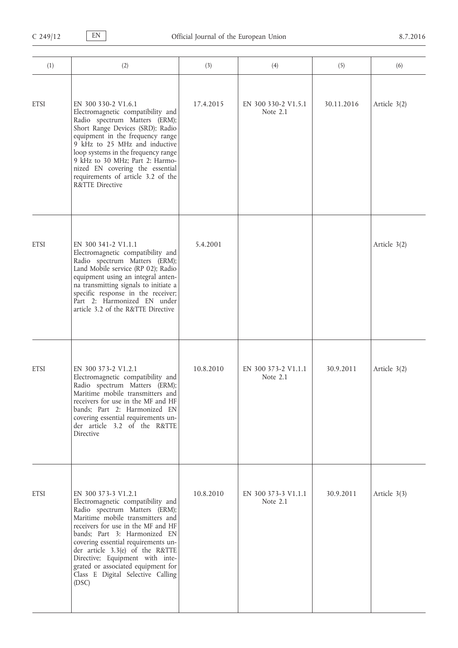| (1)         | (2)                                                                                                                                                                                                                                                                                                                                                                                                  | (3)       | (4)                               | (5)        | (6)          |
|-------------|------------------------------------------------------------------------------------------------------------------------------------------------------------------------------------------------------------------------------------------------------------------------------------------------------------------------------------------------------------------------------------------------------|-----------|-----------------------------------|------------|--------------|
| <b>ETSI</b> | EN 300 330-2 V1.6.1<br>Electromagnetic compatibility and<br>Radio spectrum Matters (ERM);<br>Short Range Devices (SRD); Radio<br>equipment in the frequency range<br>9 kHz to 25 MHz and inductive<br>loop systems in the frequency range<br>9 kHz to 30 MHz; Part 2: Harmo-<br>nized EN covering the essential<br>requirements of article 3.2 of the<br>R&TTE Directive                             | 17.4.2015 | EN 300 330-2 V1.5.1<br>Note $2.1$ | 30.11.2016 | Article 3(2) |
| <b>ETSI</b> | EN 300 341-2 V1.1.1<br>Electromagnetic compatibility and<br>Radio spectrum Matters (ERM);<br>Land Mobile service (RP 02); Radio<br>equipment using an integral anten-<br>na transmitting signals to initiate a<br>specific response in the receiver;<br>Part 2: Harmonized EN under<br>article 3.2 of the R&TTE Directive                                                                            | 5.4.2001  |                                   |            | Article 3(2) |
| <b>ETSI</b> | EN 300 373-2 V1.2.1<br>Electromagnetic compatibility and<br>Radio spectrum Matters (ERM);<br>Maritime mobile transmitters and<br>receivers for use in the MF and HF<br>bands; Part 2: Harmonized EN<br>covering essential requirements un-<br>der article 3.2 of the R&TTE<br>Directive                                                                                                              | 10.8.2010 | EN 300 373-2 V1.1.1<br>Note 2.1   | 30.9.2011  | Article 3(2) |
| <b>ETSI</b> | EN 300 373-3 V1.2.1<br>Electromagnetic compatibility and<br>Radio spectrum Matters (ERM);<br>Maritime mobile transmitters and<br>receivers for use in the MF and HF<br>bands; Part 3: Harmonized EN<br>covering essential requirements un-<br>der article 3.3(e) of the R&TTE<br>Directive; Equipment with inte-<br>grated or associated equipment for<br>Class E Digital Selective Calling<br>(DSC) | 10.8.2010 | EN 300 373-3 V1.1.1<br>Note $2.1$ | 30.9.2011  | Article 3(3) |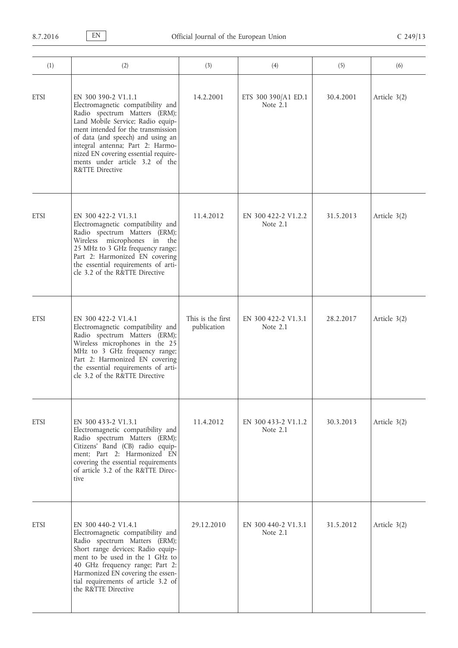| (1)         | (2)                                                                                                                                                                                                                                                                                                                                                   | (3)                              | (4)                               | (5)       | (6)          |
|-------------|-------------------------------------------------------------------------------------------------------------------------------------------------------------------------------------------------------------------------------------------------------------------------------------------------------------------------------------------------------|----------------------------------|-----------------------------------|-----------|--------------|
| <b>ETSI</b> | EN 300 390-2 V1.1.1<br>Electromagnetic compatibility and<br>Radio spectrum Matters (ERM);<br>Land Mobile Service; Radio equip-<br>ment intended for the transmission<br>of data (and speech) and using an<br>integral antenna; Part 2: Harmo-<br>nized EN covering essential require-<br>ments under article 3.2 of the<br><b>R&amp;TTE Directive</b> | 14.2.2001                        | ETS 300 390/A1 ED.1<br>Note 2.1   | 30.4.2001 | Article 3(2) |
| <b>ETSI</b> | EN 300 422-2 V1.3.1<br>Electromagnetic compatibility and<br>Radio spectrum Matters (ERM);<br>Wireless microphones in the<br>25 MHz to 3 GHz frequency range;<br>Part 2: Harmonized EN covering<br>the essential requirements of arti-<br>cle 3.2 of the R&TTE Directive                                                                               | 11.4.2012                        | EN 300 422-2 V1.2.2<br>Note $2.1$ | 31.5.2013 | Article 3(2) |
| <b>ETSI</b> | EN 300 422-2 V1.4.1<br>Electromagnetic compatibility and<br>Radio spectrum Matters (ERM);<br>Wireless microphones in the 25<br>MHz to 3 GHz frequency range;<br>Part 2: Harmonized EN covering<br>the essential requirements of arti-<br>cle 3.2 of the R&TTE Directive                                                                               | This is the first<br>publication | EN 300 422-2 V1.3.1<br>Note 2.1   | 28.2.2017 | Article 3(2) |
| <b>ETSI</b> | EN 300 433-2 V1.3.1<br>Electromagnetic compatibility and<br>Radio spectrum Matters (ERM);<br>Citizens' Band (CB) radio equip-<br>ment; Part 2: Harmonized EN<br>covering the essential requirements<br>of article 3.2 of the R&TTE Direc-<br>tive                                                                                                     | 11.4.2012                        | EN 300 433-2 V1.1.2<br>Note $2.1$ | 30.3.2013 | Article 3(2) |
| <b>ETSI</b> | EN 300 440-2 V1.4.1<br>Electromagnetic compatibility and<br>Radio spectrum Matters (ERM);<br>Short range devices; Radio equip-<br>ment to be used in the 1 GHz to<br>40 GHz frequency range; Part 2:<br>Harmonized EN covering the essen-<br>tial requirements of article 3.2 of<br>the R&TTE Directive                                               | 29.12.2010                       | EN 300 440-2 V1.3.1<br>Note $2.1$ | 31.5.2012 | Article 3(2) |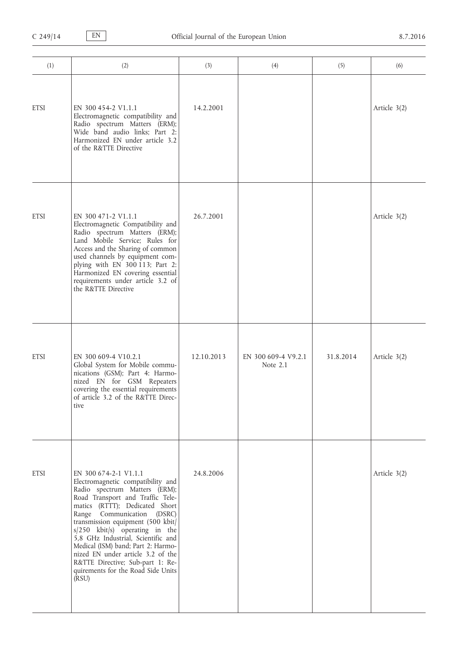| (1)         | (2)                                                                                                                                                                                                                                                                                                                                                                                                                                                                        | (3)        | (4)                             | (5)       | (6)          |
|-------------|----------------------------------------------------------------------------------------------------------------------------------------------------------------------------------------------------------------------------------------------------------------------------------------------------------------------------------------------------------------------------------------------------------------------------------------------------------------------------|------------|---------------------------------|-----------|--------------|
| <b>ETSI</b> | EN 300 454-2 V1.1.1<br>Electromagnetic compatibility and<br>Radio spectrum Matters (ERM);<br>Wide band audio links; Part 2:<br>Harmonized EN under article 3.2<br>of the R&TTE Directive                                                                                                                                                                                                                                                                                   | 14.2.2001  |                                 |           | Article 3(2) |
| <b>ETSI</b> | EN 300 471-2 V1.1.1<br>Electromagnetic Compatibility and<br>Radio spectrum Matters (ERM);<br>Land Mobile Service; Rules for<br>Access and the Sharing of common<br>used channels by equipment com-<br>plying with EN 300 113; Part 2:<br>Harmonized EN covering essential<br>requirements under article 3.2 of<br>the R&TTE Directive                                                                                                                                      | 26.7.2001  |                                 |           | Article 3(2) |
| <b>ETSI</b> | EN 300 609-4 V10.2.1<br>Global System for Mobile commu-<br>nications (GSM); Part 4: Harmo-<br>nized EN for GSM Repeaters<br>covering the essential requirements<br>of article 3.2 of the R&TTE Direc-<br>tive                                                                                                                                                                                                                                                              | 12.10.2013 | EN 300 609-4 V9.2.1<br>Note 2.1 | 31.8.2014 | Article 3(2) |
| <b>ETSI</b> | EN 300 674-2-1 V1.1.1<br>Electromagnetic compatibility and<br>Radio spectrum Matters (ERM);<br>Road Transport and Traffic Tele-<br>matics (RTTT); Dedicated Short<br>Range Communication (DSRC)<br>transmission equipment (500 kbit/<br>s/250 kbit/s) operating in the<br>5,8 GHz Industrial, Scientific and<br>Medical (ISM) band; Part 2: Harmo-<br>nized EN under article 3.2 of the<br>R&TTE Directive; Sub-part 1: Re-<br>quirements for the Road Side Units<br>(RSU) | 24.8.2006  |                                 |           | Article 3(2) |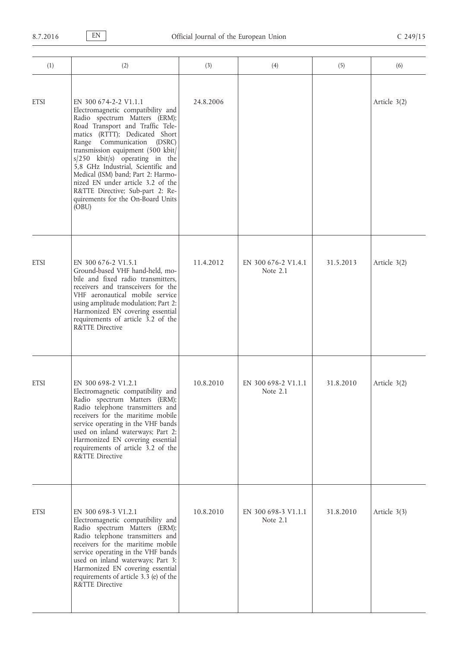| (1)         | (2)                                                                                                                                                                                                                                                                                                                                                                                                                                                                            | (3)       | (4)                               | (5)       | (6)            |
|-------------|--------------------------------------------------------------------------------------------------------------------------------------------------------------------------------------------------------------------------------------------------------------------------------------------------------------------------------------------------------------------------------------------------------------------------------------------------------------------------------|-----------|-----------------------------------|-----------|----------------|
| <b>ETSI</b> | EN 300 674-2-2 V1.1.1<br>Electromagnetic compatibility and<br>Radio spectrum Matters (ERM);<br>Road Transport and Traffic Tele-<br>matics (RTTT); Dedicated Short<br>Range<br>Communication (DSRC)<br>transmission equipment (500 kbit/<br>$s/250$ kbit/s) operating in the<br>5,8 GHz Industrial, Scientific and<br>Medical (ISM) band; Part 2: Harmo-<br>nized EN under article 3.2 of the<br>R&TTE Directive; Sub-part 2: Re-<br>quirements for the On-Board Units<br>(OBU) | 24.8.2006 |                                   |           | Article 3(2)   |
| <b>ETSI</b> | EN 300 676-2 V1.5.1<br>Ground-based VHF hand-held, mo-<br>bile and fixed radio transmitters,<br>receivers and transceivers for the<br>VHF aeronautical mobile service<br>using amplitude modulation; Part 2:<br>Harmonized EN covering essential<br>requirements of article 3.2 of the<br>R&TTE Directive                                                                                                                                                                      | 11.4.2012 | EN 300 676-2 V1.4.1<br>Note 2.1   | 31.5.2013 | Article 3(2)   |
| <b>ETSI</b> | EN 300 698-2 V1.2.1<br>Electromagnetic compatibility and<br>Radio spectrum Matters (ERM);<br>Radio telephone transmitters and<br>receivers for the maritime mobile<br>service operating in the VHF bands<br>used on inland waterways; Part 2:<br>Harmonized EN covering essential<br>requirements of article 3.2 of the<br><b>R&amp;TTE</b> Directive                                                                                                                          | 10.8.2010 | EN 300 698-2 V1.1.1<br>Note $2.1$ | 31.8.2010 | Article $3(2)$ |
| <b>ETSI</b> | EN 300 698-3 V1.2.1<br>Electromagnetic compatibility and<br>Radio spectrum Matters (ERM);<br>Radio telephone transmitters and<br>receivers for the maritime mobile<br>service operating in the VHF bands<br>used on inland waterways; Part 3:<br>Harmonized EN covering essential<br>requirements of article 3.3 (e) of the<br>R&TTE Directive                                                                                                                                 | 10.8.2010 | EN 300 698-3 V1.1.1<br>Note $2.1$ | 31.8.2010 | Article 3(3)   |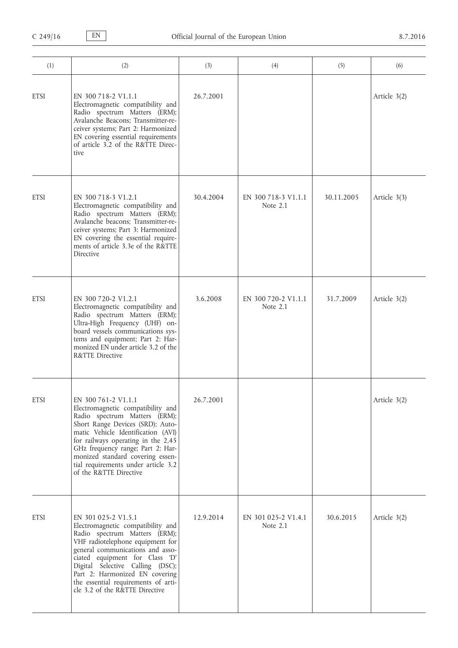| (1)         | (2)                                                                                                                                                                                                                                                                                                                                                 | (3)       | (4)                               | (5)        | (6)          |
|-------------|-----------------------------------------------------------------------------------------------------------------------------------------------------------------------------------------------------------------------------------------------------------------------------------------------------------------------------------------------------|-----------|-----------------------------------|------------|--------------|
| <b>ETSI</b> | EN 300 718-2 V1.1.1<br>Electromagnetic compatibility and<br>Radio spectrum Matters (ERM);<br>Avalanche Beacons; Transmitter-re-<br>ceiver systems; Part 2: Harmonized<br>EN covering essential requirements<br>of article 3.2 of the R&TTE Direc-<br>tive                                                                                           | 26.7.2001 |                                   |            | Article 3(2) |
| <b>ETSI</b> | EN 300 718-3 V1.2.1<br>Electromagnetic compatibility and<br>Radio spectrum Matters (ERM);<br>Avalanche beacons; Transmitter-re-<br>ceiver systems; Part 3: Harmonized<br>EN covering the essential require-<br>ments of article 3.3e of the R&TTE<br>Directive                                                                                      | 30.4.2004 | EN 300 718-3 V1.1.1<br>Note 2.1   | 30.11.2005 | Article 3(3) |
| <b>ETSI</b> | EN 300 720-2 V1.2.1<br>Electromagnetic compatibility and<br>Radio spectrum Matters (ERM);<br>Ultra-High Frequency (UHF) on-<br>board vessels communications sys-<br>tems and equipment; Part 2: Har-<br>monized EN under article 3.2 of the<br><b>R&amp;TTE Directive</b>                                                                           | 3.6.2008  | EN 300 720-2 V1.1.1<br>Note 2.1   | 31.7.2009  | Article 3(2) |
| <b>ETSI</b> | EN 300 761-2 V1.1.1<br>Electromagnetic compatibility and<br>Radio spectrum Matters (ERM);<br>Short Range Devices (SRD); Auto-<br>matic Vehicle Identification (AVI)<br>for railways operating in the 2,45<br>GHz frequency range; Part 2: Har-<br>monized standard covering essen-<br>tial requirements under article 3.2<br>of the R&TTE Directive | 26.7.2001 |                                   |            | Article 3(2) |
| <b>ETSI</b> | EN 301 025-2 V1.5.1<br>Electromagnetic compatibility and<br>Radio spectrum Matters (ERM);<br>VHF radiotelephone equipment for<br>general communications and asso-<br>ciated equipment for Class 'D'<br>Digital Selective Calling (DSC);<br>Part 2: Harmonized EN covering<br>the essential requirements of arti-<br>cle 3.2 of the R&TTE Directive  | 12.9.2014 | EN 301 025-2 V1.4.1<br>Note $2.1$ | 30.6.2015  | Article 3(2) |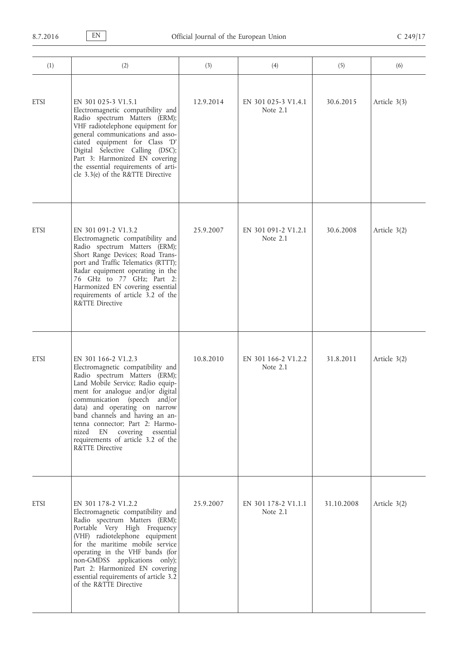| (1)         | (2)                                                                                                                                                                                                                                                                                                                                                                                               | (3)       | (4)                               | (5)        | (6)          |
|-------------|---------------------------------------------------------------------------------------------------------------------------------------------------------------------------------------------------------------------------------------------------------------------------------------------------------------------------------------------------------------------------------------------------|-----------|-----------------------------------|------------|--------------|
| <b>ETSI</b> | EN 301 025-3 V1.5.1<br>Electromagnetic compatibility and<br>Radio spectrum Matters (ERM);<br>VHF radiotelephone equipment for<br>general communications and asso-<br>ciated equipment for Class 'D'<br>Digital Selective Calling (DSC);<br>Part 3: Harmonized EN covering<br>the essential requirements of arti-<br>cle 3.3(e) of the R&TTE Directive                                             | 12.9.2014 | EN 301 025-3 V1.4.1<br>Note $2.1$ | 30.6.2015  | Article 3(3) |
| <b>ETSI</b> | EN 301 091-2 V1.3.2<br>Electromagnetic compatibility and<br>Radio spectrum Matters (ERM);<br>Short Range Devices; Road Trans-<br>port and Traffic Telematics (RTTT);<br>Radar equipment operating in the<br>76 GHz to 77 GHz; Part 2:<br>Harmonized EN covering essential<br>requirements of article 3.2 of the<br><b>R&amp;TTE Directive</b>                                                     | 25.9.2007 | EN 301 091-2 V1.2.1<br>Note $2.1$ | 30.6.2008  | Article 3(2) |
| <b>ETSI</b> | EN 301 166-2 V1.2.3<br>Electromagnetic compatibility and<br>Radio spectrum Matters (ERM);<br>Land Mobile Service; Radio equip-<br>ment for analogue and/or digital<br>communication (speech and/or<br>data) and operating on narrow<br>band channels and having an an-<br>tenna connector; Part 2: Harmo-<br>nized EN covering essential<br>requirements of article 3.2 of the<br>R&TTE Directive | 10.8.2010 | EN 301 166-2 V1.2.2<br>Note 2.1   | 31.8.2011  | Article 3(2) |
| <b>ETSI</b> | EN 301 178-2 V1.2.2<br>Electromagnetic compatibility and<br>Radio spectrum Matters (ERM);<br>Portable Very High Frequency<br>(VHF) radiotelephone equipment<br>for the maritime mobile service<br>operating in the VHF bands (for<br>non-GMDSS applications only);<br>Part 2: Harmonized EN covering<br>essential requirements of article 3.2<br>of the R&TTE Directive                           | 25.9.2007 | EN 301 178-2 V1.1.1<br>Note $2.1$ | 31.10.2008 | Article 3(2) |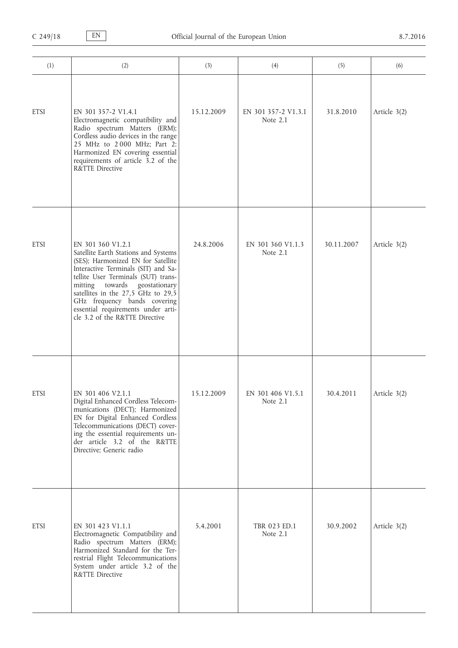| (1)         | (2)                                                                                                                                                                                                                                                                                                                                                          | (3)        | (4)                             | (5)        | (6)          |
|-------------|--------------------------------------------------------------------------------------------------------------------------------------------------------------------------------------------------------------------------------------------------------------------------------------------------------------------------------------------------------------|------------|---------------------------------|------------|--------------|
| <b>ETSI</b> | EN 301 357-2 V1.4.1<br>Electromagnetic compatibility and<br>Radio spectrum Matters (ERM);<br>Cordless audio devices in the range<br>25 MHz to 2000 MHz; Part 2:<br>Harmonized EN covering essential<br>requirements of article 3.2 of the<br>R&TTE Directive                                                                                                 | 15.12.2009 | EN 301 357-2 V1.3.1<br>Note 2.1 | 31.8.2010  | Article 3(2) |
| <b>ETSI</b> | EN 301 360 V1.2.1<br>Satellite Earth Stations and Systems<br>(SES); Harmonized EN for Satellite<br>Interactive Terminals (SIT) and Sa-<br>tellite User Terminals (SUT) trans-<br>mitting towards geostationary<br>satellites in the 27,5 GHz to 29,5<br>GHz frequency bands covering<br>essential requirements under arti-<br>cle 3.2 of the R&TTE Directive | 24.8.2006  | EN 301 360 V1.1.3<br>Note 2.1   | 30.11.2007 | Article 3(2) |
| <b>ETSI</b> | EN 301 406 V2.1.1<br>Digital Enhanced Cordless Telecom-<br>munications (DECT); Harmonized<br>EN for Digital Enhanced Cordless<br>Telecommunications (DECT) cover-<br>ing the essential requirements un-<br>der article 3.2 of the R&TTE<br>Directive; Generic radio                                                                                          | 15.12.2009 | EN 301 406 V1.5.1<br>Note 2.1   | 30.4.2011  | Article 3(2) |
| <b>ETSI</b> | EN 301 423 V1.1.1<br>Electromagnetic Compatibility and<br>Radio spectrum Matters (ERM);<br>Harmonized Standard for the Ter-<br>restrial Flight Telecommunications<br>System under article 3.2 of the<br>R&TTE Directive                                                                                                                                      | 5.4.2001   | TBR 023 ED.1<br>Note 2.1        | 30.9.2002  | Article 3(2) |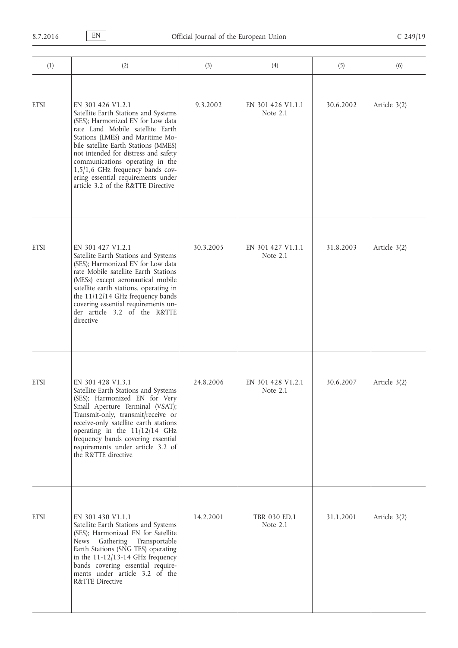| (1)         | (2)                                                                                                                                                                                                                                                                                                                                                                                                       | (3)       | (4)                           | (5)       | (6)          |
|-------------|-----------------------------------------------------------------------------------------------------------------------------------------------------------------------------------------------------------------------------------------------------------------------------------------------------------------------------------------------------------------------------------------------------------|-----------|-------------------------------|-----------|--------------|
| <b>ETSI</b> | EN 301 426 V1.2.1<br>Satellite Earth Stations and Systems<br>(SES); Harmonized EN for Low data<br>rate Land Mobile satellite Earth<br>Stations (LMES) and Maritime Mo-<br>bile satellite Earth Stations (MMES)<br>not intended for distress and safety<br>communications operating in the<br>1,5/1,6 GHz frequency bands cov-<br>ering essential requirements under<br>article 3.2 of the R&TTE Directive | 9.3.2002  | EN 301 426 V1.1.1<br>Note 2.1 | 30.6.2002 | Article 3(2) |
| <b>ETSI</b> | EN 301 427 V1.2.1<br>Satellite Earth Stations and Systems<br>(SES); Harmonized EN for Low data<br>rate Mobile satellite Earth Stations<br>(MESs) except aeronautical mobile<br>satellite earth stations, operating in<br>the $11/12/14$ GHz frequency bands<br>covering essential requirements un-<br>der article 3.2 of the R&TTE<br>directive                                                           | 30.3.2005 | EN 301 427 V1.1.1<br>Note 2.1 | 31.8.2003 | Article 3(2) |
| <b>ETSI</b> | EN 301 428 V1.3.1<br>Satellite Earth Stations and Systems<br>(SES); Harmonized EN for Very<br>Small Aperture Terminal (VSAT);<br>Transmit-only, transmit/receive or<br>receive-only satellite earth stations<br>operating in the 11/12/14 GHz<br>frequency bands covering essential<br>requirements under article 3.2 of<br>the R&TTE directive                                                           | 24.8.2006 | EN 301 428 V1.2.1<br>Note 2.1 | 30.6.2007 | Article 3(2) |
| <b>ETSI</b> | EN 301 430 V1.1.1<br>Satellite Earth Stations and Systems<br>(SES); Harmonized EN for Satellite<br>News Gathering Transportable<br>Earth Stations (SNG TES) operating<br>in the $11-12/13-14$ GHz frequency<br>bands covering essential require-<br>ments under article 3.2 of the<br>R&TTE Directive                                                                                                     | 14.2.2001 | TBR 030 ED.1<br>Note 2.1      | 31.1.2001 | Article 3(2) |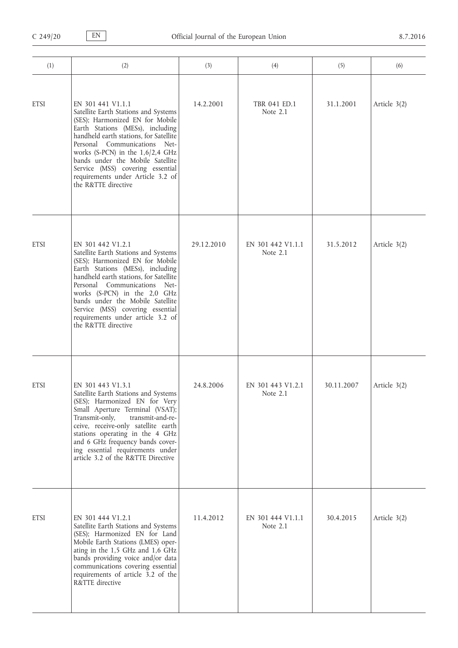| (1)         | (2)                                                                                                                                                                                                                                                                                                                                                                                  | (3)        | (4)                             | (5)        | (6)          |
|-------------|--------------------------------------------------------------------------------------------------------------------------------------------------------------------------------------------------------------------------------------------------------------------------------------------------------------------------------------------------------------------------------------|------------|---------------------------------|------------|--------------|
| <b>ETSI</b> | EN 301 441 V1.1.1<br>Satellite Earth Stations and Systems<br>(SES); Harmonized EN for Mobile<br>Earth Stations (MESs), including<br>handheld earth stations, for Satellite<br>Personal Communications Net-<br>works (S-PCN) in the $1,6/2,4$ GHz<br>bands under the Mobile Satellite<br>Service (MSS) covering essential<br>requirements under Article 3.2 of<br>the R&TTE directive | 14.2.2001  | TBR 041 ED.1<br>Note 2.1        | 31.1.2001  | Article 3(2) |
| <b>ETSI</b> | EN 301 442 V1.2.1<br>Satellite Earth Stations and Systems<br>(SES); Harmonized EN for Mobile<br>Earth Stations (MESs), including<br>handheld earth stations, for Satellite<br>Personal Communications Net-<br>works (S-PCN) in the 2,0 GHz<br>bands under the Mobile Satellite<br>Service (MSS) covering essential<br>requirements under article 3.2 of<br>the R&TTE directive       | 29.12.2010 | EN 301 442 V1.1.1<br>Note 2.1   | 31.5.2012  | Article 3(2) |
| <b>ETSI</b> | EN 301 443 V1.3.1<br>Satellite Earth Stations and Systems<br>(SES); Harmonized EN for Very<br>Small Aperture Terminal (VSAT);<br>Transmit-only,<br>transmit-and-re-<br>ceive, receive-only satellite earth<br>stations operating in the 4 GHz<br>and 6 GHz frequency bands cover-<br>ing essential requirements under<br>article 3.2 of the R&TTE Directive                          | 24.8.2006  | EN 301 443 V1.2.1<br>Note 2.1   | 30.11.2007 | Article 3(2) |
| <b>ETSI</b> | EN 301 444 V1.2.1<br>Satellite Earth Stations and Systems<br>(SES); Harmonized EN for Land<br>Mobile Earth Stations (LMES) oper-<br>ating in the 1,5 GHz and 1,6 GHz<br>bands providing voice and/or data<br>communications covering essential<br>requirements of article 3.2 of the<br>R&TTE directive                                                                              | 11.4.2012  | EN 301 444 V1.1.1<br>Note $2.1$ | 30.4.2015  | Article 3(2) |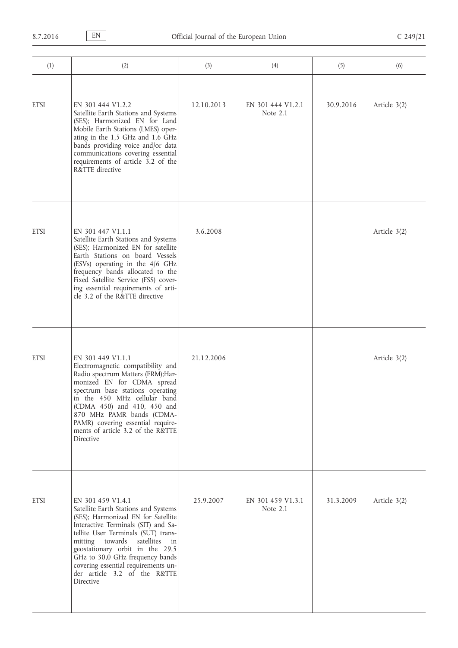| (1)         | (2)                                                                                                                                                                                                                                                                                                                                                                         | (3)        | (4)                             | (5)       | (6)          |
|-------------|-----------------------------------------------------------------------------------------------------------------------------------------------------------------------------------------------------------------------------------------------------------------------------------------------------------------------------------------------------------------------------|------------|---------------------------------|-----------|--------------|
| <b>ETSI</b> | EN 301 444 V1.2.2<br>Satellite Earth Stations and Systems<br>(SES); Harmonized EN for Land<br>Mobile Earth Stations (LMES) oper-<br>ating in the 1,5 GHz and 1,6 GHz<br>bands providing voice and/or data<br>communications covering essential<br>requirements of article 3.2 of the<br>R&TTE directive                                                                     | 12.10.2013 | EN 301 444 V1.2.1<br>Note $2.1$ | 30.9.2016 | Article 3(2) |
| <b>ETSI</b> | EN 301 447 V1.1.1<br>Satellite Earth Stations and Systems<br>(SES); Harmonized EN for satellite<br>Earth Stations on board Vessels<br>(ESVs) operating in the 4/6 GHz<br>frequency bands allocated to the<br>Fixed Satellite Service (FSS) cover-<br>ing essential requirements of arti-<br>cle 3.2 of the R&TTE directive                                                  | 3.6.2008   |                                 |           | Article 3(2) |
| <b>ETSI</b> | EN 301 449 V1.1.1<br>Electromagnetic compatibility and<br>Radio spectrum Matters (ERM);Har-<br>monized EN for CDMA spread<br>spectrum base stations operating<br>in the 450 MHz cellular band<br>(CDMA 450) and 410, 450 and<br>870 MHz PAMR bands (CDMA-<br>PAMR) covering essential require-<br>ments of article 3.2 of the R&TTE<br>Directive                            | 21.12.2006 |                                 |           | Article 3(2) |
| <b>ETSI</b> | EN 301 459 V1.4.1<br>Satellite Earth Stations and Systems<br>(SES); Harmonized EN for Satellite<br>Interactive Terminals (SIT) and Sa-<br>tellite User Terminals (SUT) trans-<br>mitting towards<br>satellites in<br>geostationary orbit in the 29,5<br>GHz to 30,0 GHz frequency bands<br>covering essential requirements un-<br>der article 3.2 of the R&TTE<br>Directive | 25.9.2007  | EN 301 459 V1.3.1<br>Note 2.1   | 31.3.2009 | Article 3(2) |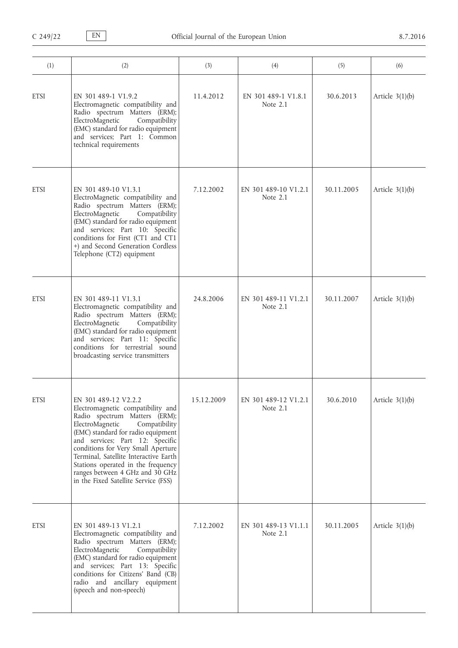| (1)         | (2)                                                                                                                                                                                                                                                                                                                                                                                                     | (3)        | (4)                                | (5)        | (6)               |
|-------------|---------------------------------------------------------------------------------------------------------------------------------------------------------------------------------------------------------------------------------------------------------------------------------------------------------------------------------------------------------------------------------------------------------|------------|------------------------------------|------------|-------------------|
| <b>ETSI</b> | EN 301 489-1 V1.9.2<br>Electromagnetic compatibility and<br>Radio spectrum Matters (ERM);<br>ElectroMagnetic<br>Compatibility<br>(EMC) standard for radio equipment<br>and services; Part 1: Common<br>technical requirements                                                                                                                                                                           | 11.4.2012  | EN 301 489-1 V1.8.1<br>Note $2.1$  | 30.6.2013  | Article $3(1)(b)$ |
| <b>ETSI</b> | EN 301 489-10 V1.3.1<br>ElectroMagnetic compatibility and<br>Radio spectrum Matters (ERM);<br>ElectroMagnetic<br>Compatibility<br>(EMC) standard for radio equipment<br>and services; Part 10: Specific<br>conditions for First (CT1 and CT1<br>+) and Second Generation Cordless<br>Telephone (CT2) equipment                                                                                          | 7.12.2002  | EN 301 489-10 V1.2.1<br>Note 2.1   | 30.11.2005 | Article $3(1)(b)$ |
| <b>ETSI</b> | EN 301 489-11 V1.3.1<br>Electromagnetic compatibility and<br>Radio spectrum Matters (ERM);<br>Compatibility<br>ElectroMagnetic<br>(EMC) standard for radio equipment<br>and services; Part 11: Specific<br>conditions for terrestrial sound<br>broadcasting service transmitters                                                                                                                        | 24.8.2006  | EN 301 489-11 V1.2.1<br>Note 2.1   | 30.11.2007 | Article $3(1)(b)$ |
| <b>ETSI</b> | EN 301 489-12 V2.2.2<br>Electromagnetic compatibility and<br>Radio spectrum Matters (ERM);<br>ElectroMagnetic<br>Compatibility<br>(EMC) standard for radio equipment<br>and services; Part 12: Specific<br>conditions for Very Small Aperture<br>Terminal, Satellite Interactive Earth<br>Stations operated in the frequency<br>ranges between 4 GHz and 30 GHz<br>in the Fixed Satellite Service (FSS) | 15.12.2009 | EN 301 489-12 V1.2.1<br>Note $2.1$ | 30.6.2010  | Article $3(1)(b)$ |
| <b>ETSI</b> | EN 301 489-13 V1.2.1<br>Electromagnetic compatibility and<br>Radio spectrum Matters (ERM);<br>ElectroMagnetic<br>Compatibility<br>(EMC) standard for radio equipment<br>and services; Part 13: Specific<br>conditions for Citizens' Band (CB)<br>radio and ancillary equipment<br>(speech and non-speech)                                                                                               | 7.12.2002  | EN 301 489-13 V1.1.1<br>Note $2.1$ | 30.11.2005 | Article $3(1)(b)$ |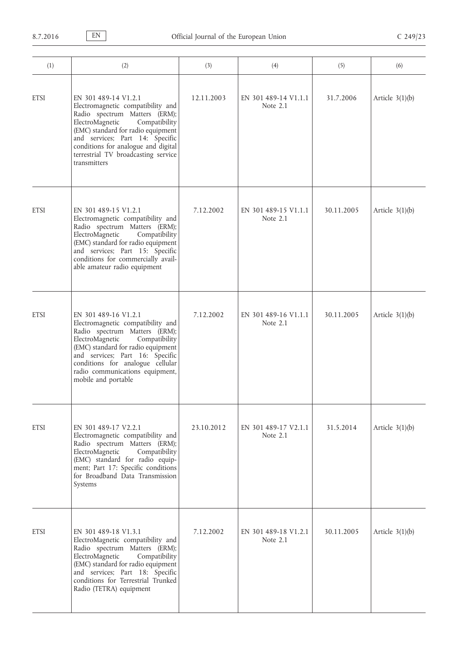| (1)         | (2)                                                                                                                                                                                                                                                                                                   | (3)        | (4)                              | (5)        | (6)               |
|-------------|-------------------------------------------------------------------------------------------------------------------------------------------------------------------------------------------------------------------------------------------------------------------------------------------------------|------------|----------------------------------|------------|-------------------|
| <b>ETSI</b> | EN 301 489-14 V1.2.1<br>Electromagnetic compatibility and<br>Radio spectrum Matters (ERM);<br>ElectroMagnetic<br>Compatibility<br>(EMC) standard for radio equipment<br>and services; Part 14: Specific<br>conditions for analogue and digital<br>terrestrial TV broadcasting service<br>transmitters | 12.11.2003 | EN 301 489-14 V1.1.1<br>Note 2.1 | 31.7.2006  | Article $3(1)(b)$ |
| <b>ETSI</b> | EN 301 489-15 V1.2.1<br>Electromagnetic compatibility and<br>Radio spectrum Matters (ERM);<br>ElectroMagnetic<br>Compatibility<br>(EMC) standard for radio equipment<br>and services; Part 15: Specific<br>conditions for commercially avail-<br>able amateur radio equipment                         | 7.12.2002  | EN 301 489-15 V1.1.1<br>Note 2.1 | 30.11.2005 | Article $3(1)(b)$ |
| <b>ETSI</b> | EN 301 489-16 V1.2.1<br>Electromagnetic compatibility and<br>Radio spectrum Matters (ERM);<br>ElectroMagnetic<br>Compatibility<br>(EMC) standard for radio equipment<br>and services; Part 16: Specific<br>conditions for analogue cellular<br>radio communications equipment,<br>mobile and portable | 7.12.2002  | EN 301 489-16 V1.1.1<br>Note 2.1 | 30.11.2005 | Article $3(1)(b)$ |
| <b>ETSI</b> | EN 301 489-17 V2.2.1<br>Electromagnetic compatibility and<br>Radio spectrum Matters (ERM);<br>ElectroMagnetic<br>Compatibility<br>(EMC) standard for radio equip-<br>ment; Part 17: Specific conditions<br>for Broadband Data Transmission<br>Systems                                                 | 23.10.2012 | EN 301 489-17 V2.1.1<br>Note 2.1 | 31.5.2014  | Article $3(1)(b)$ |
| <b>ETSI</b> | EN 301 489-18 V1.3.1<br>ElectroMagnetic compatibility and<br>Radio spectrum Matters (ERM);<br>ElectroMagnetic<br>Compatibility<br>(EMC) standard for radio equipment<br>and services; Part 18: Specific<br>conditions for Terrestrial Trunked<br>Radio (TETRA) equipment                              | 7.12.2002  | EN 301 489-18 V1.2.1<br>Note 2.1 | 30.11.2005 | Article $3(1)(b)$ |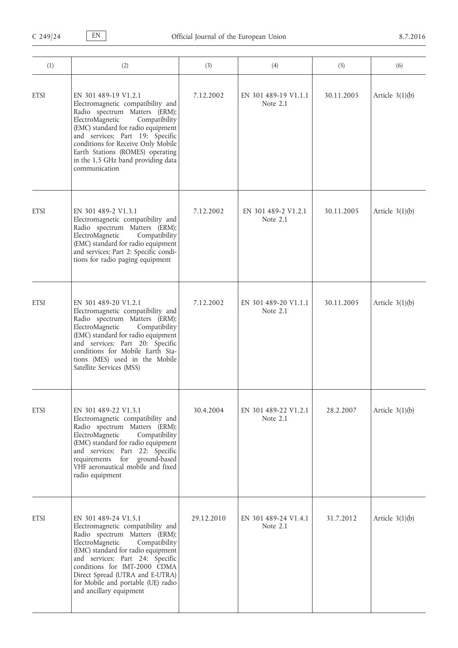| (1)         | (2)                                                                                                                                                                                                                                                                                                                                         | (3)        | (4)                               | (5)        | (6)               |
|-------------|---------------------------------------------------------------------------------------------------------------------------------------------------------------------------------------------------------------------------------------------------------------------------------------------------------------------------------------------|------------|-----------------------------------|------------|-------------------|
| <b>ETSI</b> | EN 301 489-19 V1.2.1<br>Electromagnetic compatibility and<br>Radio spectrum Matters (ERM);<br>ElectroMagnetic<br>Compatibility<br>(EMC) standard for radio equipment<br>and services; Part 19: Specific<br>conditions for Receive Only Mobile<br>Earth Stations (ROMES) operating<br>in the 1,5 GHz band providing data<br>communication    | 7.12.2002  | EN 301 489-19 V1.1.1<br>Note 2.1  | 30.11.2005 | Article $3(1)(b)$ |
| <b>ETSI</b> | EN 301 489-2 V1.3.1<br>Electromagnetic compatibility and<br>Radio spectrum Matters (ERM);<br>ElectroMagnetic<br>Compatibility<br>(EMC) standard for radio equipment<br>and services; Part 2: Specific condi-<br>tions for radio paging equipment                                                                                            | 7.12.2002  | EN 301 489-2 V1.2.1<br>Note $2.1$ | 30.11.2005 | Article $3(1)(b)$ |
| <b>ETSI</b> | EN 301 489-20 V1.2.1<br>Electromagnetic compatibility and<br>Radio spectrum Matters (ERM);<br>ElectroMagnetic<br>Compatibility<br>(EMC) standard for radio equipment<br>and services; Part 20: Specific<br>conditions for Mobile Earth Sta-<br>tions (MES) used in the Mobile<br>Satellite Services (MSS)                                   | 7.12.2002  | EN 301 489-20 V1.1.1<br>Note 2.1  | 30.11.2005 | Article $3(1)(b)$ |
| <b>ETSI</b> | EN 301 489-22 V1.3.1<br>Electromagnetic compatibility and<br>Radio spectrum Matters (ERM);<br>ElectroMagnetic<br>Compatibility<br>(EMC) standard for radio equipment<br>and services; Part 22: Specific<br>requirements for ground-based<br>VHF aeronautical mobile and fixed<br>radio equipment                                            | 30.4.2004  | EN 301 489-22 V1.2.1<br>Note 2.1  | 28.2.2007  | Article $3(1)(b)$ |
| <b>ETSI</b> | EN 301 489-24 V1.5.1<br>Electromagnetic compatibility and<br>Radio spectrum Matters (ERM);<br>ElectroMagnetic<br>Compatibility<br>(EMC) standard for radio equipment<br>and services; Part 24: Specific<br>conditions for IMT-2000 CDMA<br>Direct Spread (UTRA and E-UTRA)<br>for Mobile and portable (UE) radio<br>and ancillary equipment | 29.12.2010 | EN 301 489-24 V1.4.1<br>Note 2.1  | 31.7.2012  | Article $3(1)(b)$ |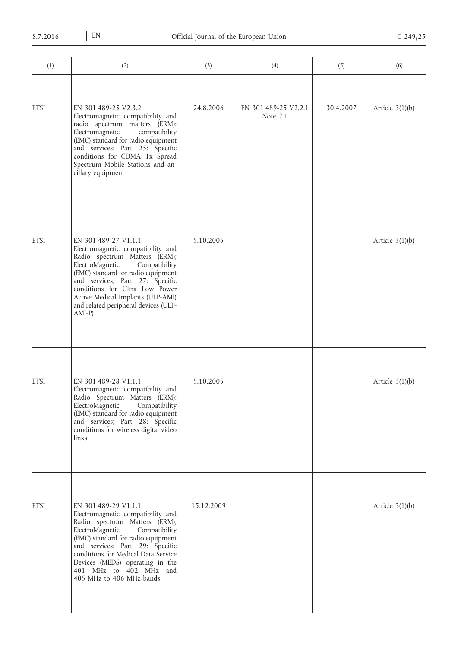| (1)         | (2)                                                                                                                                                                                                                                                                                                                                     | (3)        | (4)                              | (5)       | (6)               |
|-------------|-----------------------------------------------------------------------------------------------------------------------------------------------------------------------------------------------------------------------------------------------------------------------------------------------------------------------------------------|------------|----------------------------------|-----------|-------------------|
| <b>ETSI</b> | EN 301 489-25 V2.3.2<br>Electromagnetic compatibility and<br>radio spectrum matters (ERM);<br>Electromagnetic<br>compatibility<br>(EMC) standard for radio equipment<br>and services; Part 25: Specific<br>conditions for CDMA 1x Spread<br>Spectrum Mobile Stations and an-<br>cillary equipment                                       | 24.8.2006  | EN 301 489-25 V2.2.1<br>Note 2.1 | 30.4.2007 | Article $3(1)(b)$ |
| <b>ETSI</b> | EN 301 489-27 V1.1.1<br>Electromagnetic compatibility and<br>Radio spectrum Matters (ERM);<br>ElectroMagnetic<br>Compatibility<br>(EMC) standard for radio equipment<br>and services; Part 27: Specific<br>conditions for Ultra Low Power<br>Active Medical Implants (ULP-AMI)<br>and related peripheral devices (ULP-<br>$AMI-P$       | 5.10.2005  |                                  |           | Article $3(1)(b)$ |
| <b>ETSI</b> | EN 301 489-28 V1.1.1<br>Electromagnetic compatibility and<br>Radio Spectrum Matters (ERM);<br>ElectroMagnetic<br>Compatibility<br>(EMC) standard for radio equipment<br>and services; Part 28: Specific<br>conditions for wireless digital video<br>links                                                                               | 5.10.2005  |                                  |           | Article $3(1)(b)$ |
| <b>ETSI</b> | EN 301 489-29 V1.1.1<br>Electromagnetic compatibility and<br>Radio spectrum Matters (ERM);<br>ElectroMagnetic<br>Compatibility<br>(EMC) standard for radio equipment<br>and services; Part 29: Specific<br>conditions for Medical Data Service<br>Devices (MEDS) operating in the<br>401 MHz to 402 MHz and<br>405 MHz to 406 MHz bands | 15.12.2009 |                                  |           | Article $3(1)(b)$ |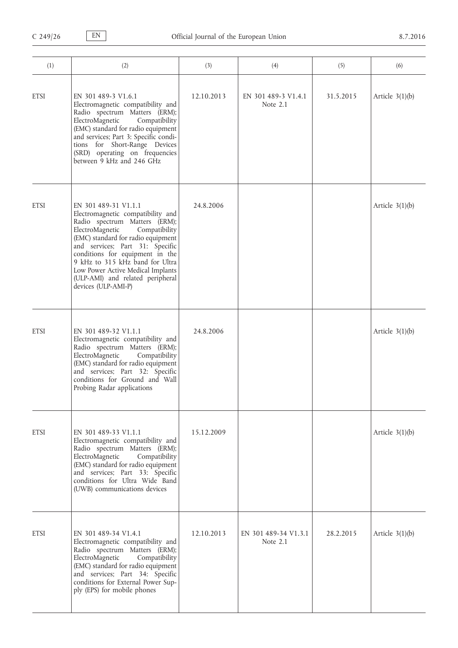| (1)         | (2)                                                                                                                                                                                                                                                                                                                                                                           | (3)        | (4)                                | (5)       | (6)               |
|-------------|-------------------------------------------------------------------------------------------------------------------------------------------------------------------------------------------------------------------------------------------------------------------------------------------------------------------------------------------------------------------------------|------------|------------------------------------|-----------|-------------------|
| <b>ETSI</b> | EN 301 489-3 V1.6.1<br>Electromagnetic compatibility and<br>Radio spectrum Matters (ERM);<br>ElectroMagnetic<br>Compatibility<br>(EMC) standard for radio equipment<br>and services; Part 3: Specific condi-<br>tions for Short-Range Devices<br>(SRD) operating on frequencies<br>between 9 kHz and 246 GHz                                                                  | 12.10.2013 | EN 301 489-3 V1.4.1<br>Note 2.1    | 31.5.2015 | Article $3(1)(b)$ |
| <b>ETSI</b> | EN 301 489-31 V1.1.1<br>Electromagnetic compatibility and<br>Radio spectrum Matters (ERM);<br>ElectroMagnetic<br>Compatibility<br>(EMC) standard for radio equipment<br>and services; Part 31: Specific<br>conditions for equipment in the<br>9 kHz to 315 kHz band for Ultra<br>Low Power Active Medical Implants<br>(ULP-AMI) and related peripheral<br>devices (ULP-AMI-P) | 24.8.2006  |                                    |           | Article $3(1)(b)$ |
| <b>ETSI</b> | EN 301 489-32 V1.1.1<br>Electromagnetic compatibility and<br>Radio spectrum Matters (ERM);<br>ElectroMagnetic<br>Compatibility<br>(EMC) standard for radio equipment<br>and services; Part 32: Specific<br>conditions for Ground and Wall<br>Probing Radar applications                                                                                                       | 24.8.2006  |                                    |           | Article $3(1)(b)$ |
| <b>ETSI</b> | EN 301 489-33 V1.1.1<br>Electromagnetic compatibility and<br>Radio spectrum Matters (ERM);<br>ElectroMagnetic<br>Compatibility<br>(EMC) standard for radio equipment<br>and services; Part 33: Specific<br>conditions for Ultra Wide Band<br>(UWB) communications devices                                                                                                     | 15.12.2009 |                                    |           | Article $3(1)(b)$ |
| <b>ETSI</b> | EN 301 489-34 V1.4.1<br>Electromagnetic compatibility and<br>Radio spectrum Matters (ERM);<br>ElectroMagnetic<br>Compatibility<br>(EMC) standard for radio equipment<br>and services; Part 34: Specific<br>conditions for External Power Sup-<br>ply (EPS) for mobile phones                                                                                                  | 12.10.2013 | EN 301 489-34 V1.3.1<br>Note $2.1$ | 28.2.2015 | Article $3(1)(b)$ |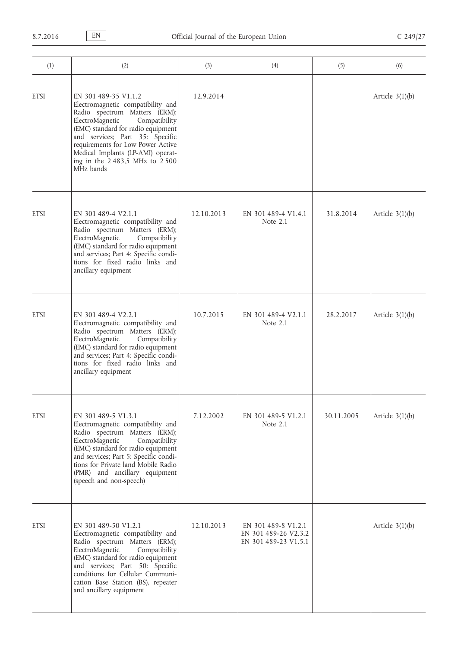| (1)         | (2)                                                                                                                                                                                                                                                                                                                             | (3)        | (4)                                                                 | (5)        | (6)               |
|-------------|---------------------------------------------------------------------------------------------------------------------------------------------------------------------------------------------------------------------------------------------------------------------------------------------------------------------------------|------------|---------------------------------------------------------------------|------------|-------------------|
| <b>ETSI</b> | EN 301 489-35 V1.1.2<br>Electromagnetic compatibility and<br>Radio spectrum Matters (ERM);<br>ElectroMagnetic<br>Compatibility<br>(EMC) standard for radio equipment<br>and services; Part 35: Specific<br>requirements for Low Power Active<br>Medical Implants (LP-AMI) operat-<br>ing in the 2483,5 MHz to 2500<br>MHz bands | 12.9.2014  |                                                                     |            | Article $3(1)(b)$ |
| <b>ETSI</b> | EN 301 489-4 V2.1.1<br>Electromagnetic compatibility and<br>Radio spectrum Matters (ERM);<br>ElectroMagnetic<br>Compatibility<br>(EMC) standard for radio equipment<br>and services; Part 4: Specific condi-<br>tions for fixed radio links and<br>ancillary equipment                                                          | 12.10.2013 | EN 301 489-4 V1.4.1<br>Note 2.1                                     | 31.8.2014  | Article $3(1)(b)$ |
| <b>ETSI</b> | EN 301 489-4 V2.2.1<br>Electromagnetic compatibility and<br>Radio spectrum Matters (ERM);<br>ElectroMagnetic<br>Compatibility<br>(EMC) standard for radio equipment<br>and services; Part 4: Specific condi-<br>tions for fixed radio links and<br>ancillary equipment                                                          | 10.7.2015  | EN 301 489-4 V2.1.1<br>Note $2.1$                                   | 28.2.2017  | Article $3(1)(b)$ |
| <b>ETSI</b> | EN 301 489-5 V1.3.1<br>Electromagnetic compatibility and<br>Radio spectrum Matters (ERM);<br>ElectroMagnetic<br>Compatibility<br>(EMC) standard for radio equipment<br>and services; Part 5: Specific condi-<br>tions for Private land Mobile Radio<br>(PMR) and ancillary equipment<br>(speech and non-speech)                 | 7.12.2002  | EN 301 489-5 V1.2.1<br>Note $2.1$                                   | 30.11.2005 | Article $3(1)(b)$ |
| <b>ETSI</b> | EN 301 489-50 V1.2.1<br>Electromagnetic compatibility and<br>Radio spectrum Matters (ERM);<br>ElectroMagnetic<br>Compatibility<br>(EMC) standard for radio equipment<br>and services; Part 50: Specific<br>conditions for Cellular Communi-<br>cation Base Station (BS), repeater<br>and ancillary equipment                    | 12.10.2013 | EN 301 489-8 V1.2.1<br>EN 301 489-26 V2.3.2<br>EN 301 489-23 V1.5.1 |            | Article $3(1)(b)$ |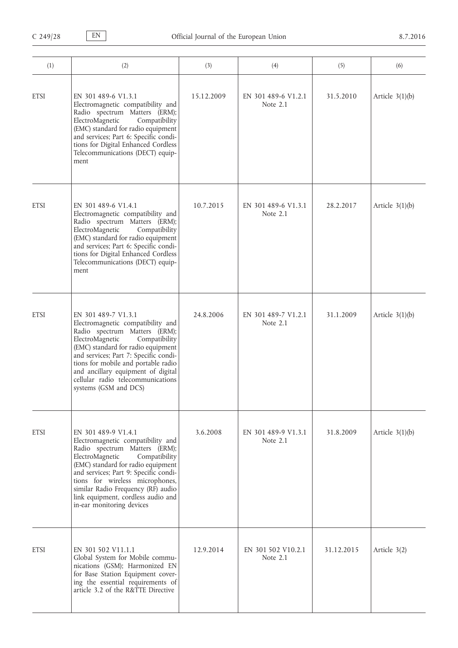| (1)         | (2)                                                                                                                                                                                                                                                                                                                                                      | (3)        | (4)                               | (5)        | (6)               |
|-------------|----------------------------------------------------------------------------------------------------------------------------------------------------------------------------------------------------------------------------------------------------------------------------------------------------------------------------------------------------------|------------|-----------------------------------|------------|-------------------|
| <b>ETSI</b> | EN 301 489-6 V1.3.1<br>Electromagnetic compatibility and<br>Radio spectrum Matters (ERM);<br>Compatibility<br>ElectroMagnetic<br>(EMC) standard for radio equipment<br>and services; Part 6: Specific condi-<br>tions for Digital Enhanced Cordless<br>Telecommunications (DECT) equip-<br>ment                                                          | 15.12.2009 | EN 301 489-6 V1.2.1<br>Note $2.1$ | 31.5.2010  | Article $3(1)(b)$ |
| <b>ETSI</b> | EN 301 489-6 V1.4.1<br>Electromagnetic compatibility and<br>Radio spectrum Matters (ERM);<br>ElectroMagnetic<br>Compatibility<br>(EMC) standard for radio equipment<br>and services; Part 6: Specific condi-<br>tions for Digital Enhanced Cordless<br>Telecommunications (DECT) equip-<br>ment                                                          | 10.7.2015  | EN 301 489-6 V1.3.1<br>Note $2.1$ | 28.2.2017  | Article $3(1)(b)$ |
| <b>ETSI</b> | EN 301 489-7 V1.3.1<br>Electromagnetic compatibility and<br>Radio spectrum Matters (ERM);<br>ElectroMagnetic<br>Compatibility<br>(EMC) standard for radio equipment<br>and services; Part 7: Specific condi-<br>tions for mobile and portable radio<br>and ancillary equipment of digital<br>cellular radio telecommunications<br>systems (GSM and DCS)  | 24.8.2006  | EN 301 489-7 V1.2.1<br>Note 2.1   | 31.1.2009  | Article $3(1)(b)$ |
| <b>ETSI</b> | EN 301 489-9 V1.4.1<br>Electromagnetic compatibility and<br>Radio spectrum Matters (ERM);<br>ElectroMagnetic<br>Compatibility<br>(EMC) standard for radio equipment<br>and services; Part 9: Specific condi-<br>tions for wireless microphones,<br>similar Radio Frequency (RF) audio<br>link equipment, cordless audio and<br>in-ear monitoring devices | 3.6.2008   | EN 301 489-9 V1.3.1<br>Note 2.1   | 31.8.2009  | Article $3(1)(b)$ |
| <b>ETSI</b> | EN 301 502 V11.1.1<br>Global System for Mobile commu-<br>nications (GSM); Harmonized EN<br>for Base Station Equipment cover-<br>ing the essential requirements of<br>article 3.2 of the R&TTE Directive                                                                                                                                                  | 12.9.2014  | EN 301 502 V10.2.1<br>Note 2.1    | 31.12.2015 | Article 3(2)      |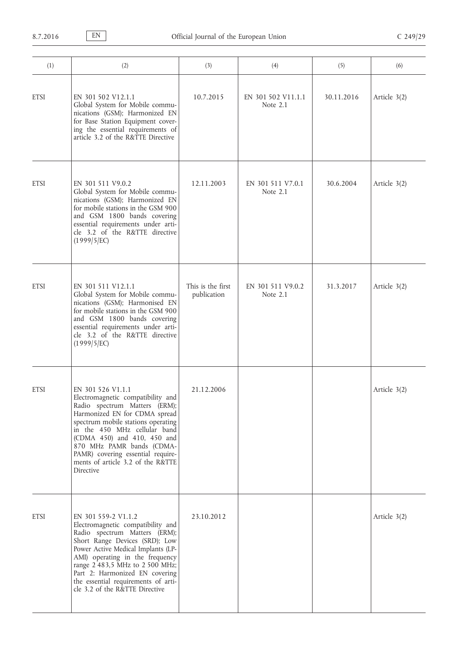| (1)         | (2)                                                                                                                                                                                                                                                                                                                                                | (3)                              | (4)                            | (5)        | (6)          |
|-------------|----------------------------------------------------------------------------------------------------------------------------------------------------------------------------------------------------------------------------------------------------------------------------------------------------------------------------------------------------|----------------------------------|--------------------------------|------------|--------------|
| <b>ETSI</b> | EN 301 502 V12.1.1<br>Global System for Mobile commu-<br>nications (GSM); Harmonized EN<br>for Base Station Equipment cover-<br>ing the essential requirements of<br>article 3.2 of the R&TTE Directive                                                                                                                                            | 10.7.2015                        | EN 301 502 V11.1.1<br>Note 2.1 | 30.11.2016 | Article 3(2) |
| <b>ETSI</b> | EN 301 511 V9.0.2<br>Global System for Mobile commu-<br>nications (GSM); Harmonized EN<br>for mobile stations in the GSM 900<br>and GSM 1800 bands covering<br>essential requirements under arti-<br>cle 3.2 of the R&TTE directive<br>(1999/5/EC)                                                                                                 | 12.11.2003                       | EN 301 511 V7.0.1<br>Note 2.1  | 30.6.2004  | Article 3(2) |
| <b>ETSI</b> | EN 301 511 V12.1.1<br>Global System for Mobile commu-<br>nications (GSM); Harmonised EN<br>for mobile stations in the GSM 900<br>and GSM 1800 bands covering<br>essential requirements under arti-<br>cle 3.2 of the R&TTE directive<br>(1999/5/EC)                                                                                                | This is the first<br>publication | EN 301 511 V9.0.2<br>Note 2.1  | 31.3.2017  | Article 3(2) |
| <b>ETSI</b> | EN 301 526 V1.1.1<br>Electromagnetic compatibility and<br>Radio spectrum Matters (ERM);<br>Harmonized EN for CDMA spread<br>spectrum mobile stations operating<br>in the 450 MHz cellular band<br>(CDMA 450) and 410, 450 and<br>870 MHz PAMR bands (CDMA-<br>PAMR) covering essential require-<br>ments of article 3.2 of the R&TTE<br>Directive  | 21.12.2006                       |                                |            | Article 3(2) |
| <b>ETSI</b> | EN 301 559-2 V1.1.2<br>Electromagnetic compatibility and<br>Radio spectrum Matters (ERM);<br>Short Range Devices (SRD); Low<br>Power Active Medical Implants (LP-<br>AMI) operating in the frequency<br>range 2 483,5 MHz to 2 500 MHz;<br>Part 2: Harmonized EN covering<br>the essential requirements of arti-<br>cle 3.2 of the R&TTE Directive | 23.10.2012                       |                                |            | Article 3(2) |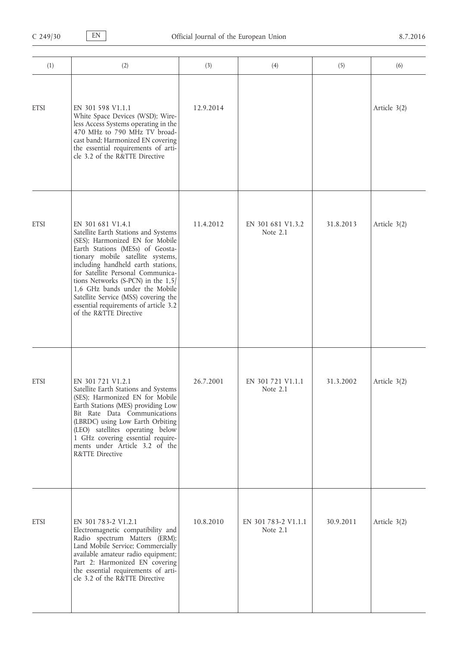| (1)         | (2)                                                                                                                                                                                                                                                                                                                                                                                                                                   | (3)       | (4)                               | (5)       | (6)          |
|-------------|---------------------------------------------------------------------------------------------------------------------------------------------------------------------------------------------------------------------------------------------------------------------------------------------------------------------------------------------------------------------------------------------------------------------------------------|-----------|-----------------------------------|-----------|--------------|
| <b>ETSI</b> | EN 301 598 V1.1.1<br>White Space Devices (WSD); Wire-<br>less Access Systems operating in the<br>470 MHz to 790 MHz TV broad-<br>cast band; Harmonized EN covering<br>the essential requirements of arti-<br>cle 3.2 of the R&TTE Directive                                                                                                                                                                                           | 12.9.2014 |                                   |           | Article 3(2) |
| <b>ETSI</b> | EN 301 681 V1.4.1<br>Satellite Earth Stations and Systems<br>(SES); Harmonized EN for Mobile<br>Earth Stations (MESs) of Geosta-<br>tionary mobile satellite systems,<br>including handheld earth stations,<br>for Satellite Personal Communica-<br>tions Networks (S-PCN) in the $1,5/$<br>1,6 GHz bands under the Mobile<br>Satellite Service (MSS) covering the<br>essential requirements of article 3.2<br>of the R&TTE Directive | 11.4.2012 | EN 301 681 V1.3.2<br>Note 2.1     | 31.8.2013 | Article 3(2) |
| <b>ETSI</b> | EN 301 721 V1.2.1<br>Satellite Earth Stations and Systems<br>(SES); Harmonized EN for Mobile<br>Earth Stations (MES) providing Low<br>Bit Rate Data Communications<br>(LBRDC) using Low Earth Orbiting<br>(LEO) satellites operating below<br>1 GHz covering essential require-<br>ments under Article 3.2 of the<br>R&TTE Directive                                                                                                  | 26.7.2001 | EN 301 721 V1.1.1<br>Note $2.1$   | 31.3.2002 | Article 3(2) |
| <b>ETSI</b> | EN 301 783-2 V1.2.1<br>Electromagnetic compatibility and<br>Radio spectrum Matters (ERM);<br>Land Mobile Service; Commercially<br>available amateur radio equipment;<br>Part 2: Harmonized EN covering<br>the essential requirements of arti-<br>cle 3.2 of the R&TTE Directive                                                                                                                                                       | 10.8.2010 | EN 301 783-2 V1.1.1<br>Note $2.1$ | 30.9.2011 | Article 3(2) |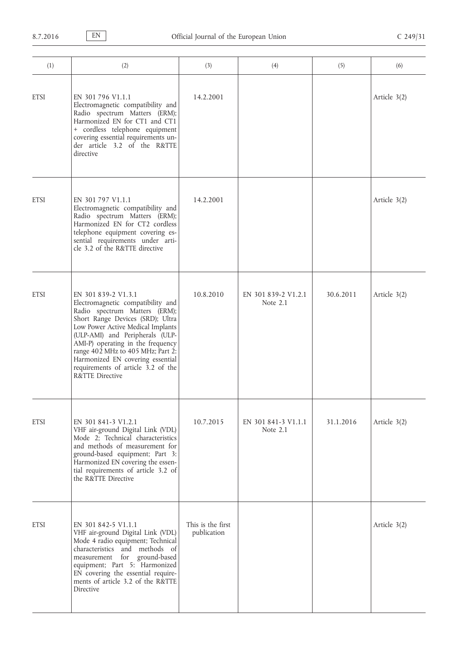| (1)         | (2)                                                                                                                                                                                                                                                                                                                                                                                     | (3)                              | (4)                               | (5)       | (6)          |
|-------------|-----------------------------------------------------------------------------------------------------------------------------------------------------------------------------------------------------------------------------------------------------------------------------------------------------------------------------------------------------------------------------------------|----------------------------------|-----------------------------------|-----------|--------------|
| <b>ETSI</b> | EN 301 796 V1.1.1<br>Electromagnetic compatibility and<br>Radio spectrum Matters (ERM);<br>Harmonized EN for CT1 and CT1<br>+ cordless telephone equipment<br>covering essential requirements un-<br>der article 3.2 of the R&TTE<br>directive                                                                                                                                          | 14.2.2001                        |                                   |           | Article 3(2) |
| <b>ETSI</b> | EN 301 797 V1.1.1<br>Electromagnetic compatibility and<br>Radio spectrum Matters (ERM);<br>Harmonized EN for CT2 cordless<br>telephone equipment covering es-<br>sential requirements under arti-<br>cle 3.2 of the R&TTE directive                                                                                                                                                     | 14.2.2001                        |                                   |           | Article 3(2) |
| <b>ETSI</b> | EN 301 839-2 V1.3.1<br>Electromagnetic compatibility and<br>Radio spectrum Matters (ERM);<br>Short Range Devices (SRD); Ultra<br>Low Power Active Medical Implants<br>(ULP-AMI) and Peripherals (ULP-<br>AMI-P) operating in the frequency<br>range 402 MHz to 405 MHz; Part 2:<br>Harmonized EN covering essential<br>requirements of article 3.2 of the<br><b>R&amp;TTE Directive</b> | 10.8.2010                        | EN 301 839-2 V1.2.1<br>Note $2.1$ | 30.6.2011 | Article 3(2) |
| <b>ETSI</b> | EN 301 841-3 V1.2.1<br>VHF air-ground Digital Link (VDL)<br>Mode 2; Technical characteristics<br>and methods of measurement for<br>ground-based equipment; Part 3:<br>Harmonized EN covering the essen-<br>tial requirements of article 3.2 of<br>the R&TTE Directive                                                                                                                   | 10.7.2015                        | EN 301 841-3 V1.1.1<br>Note $2.1$ | 31.1.2016 | Article 3(2) |
| <b>ETSI</b> | EN 301 842-5 V1.1.1<br>VHF air-ground Digital Link (VDL)<br>Mode 4 radio equipment; Technical<br>characteristics and methods of<br>measurement for ground-based<br>equipment; Part 5: Harmonized<br>EN covering the essential require-<br>ments of article 3.2 of the R&TTE<br>Directive                                                                                                | This is the first<br>publication |                                   |           | Article 3(2) |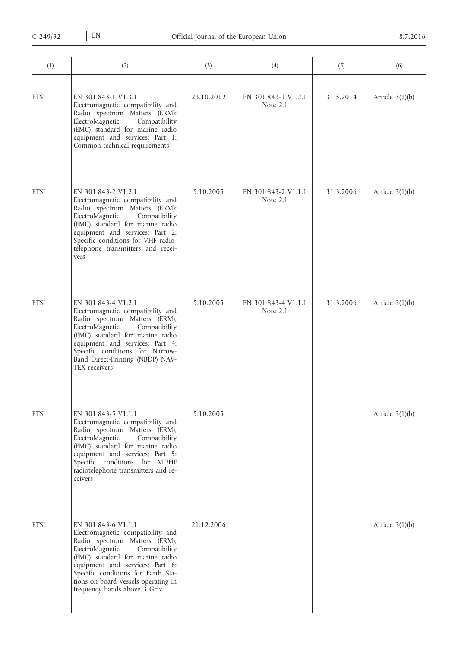| (1)         | (2)                                                                                                                                                                                                                                                                                                             | (3)        | (4)                             | (5)       | (6)               |
|-------------|-----------------------------------------------------------------------------------------------------------------------------------------------------------------------------------------------------------------------------------------------------------------------------------------------------------------|------------|---------------------------------|-----------|-------------------|
| <b>ETSI</b> | EN 301 843-1 V1.3.1<br>Electromagnetic compatibility and<br>Radio spectrum Matters (ERM);<br>ElectroMagnetic<br>Compatibility<br>(EMC) standard for marine radio<br>equipment and services; Part 1:<br>Common technical requirements                                                                            | 23.10.2012 | EN 301 843-1 V1.2.1<br>Note 2.1 | 31.5.2014 | Article $3(1)(b)$ |
| <b>ETSI</b> | EN 301 843-2 V1.2.1<br>Electromagnetic compatibility and<br>Radio spectrum Matters (ERM);<br>ElectroMagnetic<br>Compatibility<br>(EMC) standard for marine radio<br>equipment and services; Part 2:<br>Specific conditions for VHF radio-<br>telephone transmitters and recei-<br>vers                          | 5.10.2005  | EN 301 843-2 V1.1.1<br>Note 2.1 | 31.3.2006 | Article $3(1)(b)$ |
| <b>ETSI</b> | EN 301 843-4 V1.2.1<br>Electromagnetic compatibility and<br>Radio spectrum Matters (ERM);<br>ElectroMagnetic<br>Compatibility<br>(EMC) standard for marine radio<br>equipment and services; Part 4:<br>Specific conditions for Narrow-<br>Band Direct-Printing (NBDP) NAV-<br>TEX receivers                     | 5.10.2005  | EN 301 843-4 V1.1.1<br>Note 2.1 | 31.3.2006 | Article $3(1)(b)$ |
| <b>ETSI</b> | EN 301 843-5 V1.1.1<br>Electromagnetic compatibility and<br>Radio spectrum Matters (ERM);<br>ElectroMagnetic<br>Compatibility<br>(EMC) standard for marine radio<br>equipment and services; Part 5:<br>Specific conditions for MF/HF<br>radiotelephone transmitters and re-<br>ceivers                          | 5.10.2005  |                                 |           | Article $3(1)(b)$ |
| <b>ETSI</b> | EN 301 843-6 V1.1.1<br>Electromagnetic compatibility and<br>Radio spectrum Matters (ERM);<br>ElectroMagnetic<br>Compatibility<br>(EMC) standard for marine radio<br>equipment and services; Part 6:<br>Specific conditions for Earth Sta-<br>tions on board Vessels operating in<br>frequency bands above 3 GHz | 21.12.2006 |                                 |           | Article $3(1)(b)$ |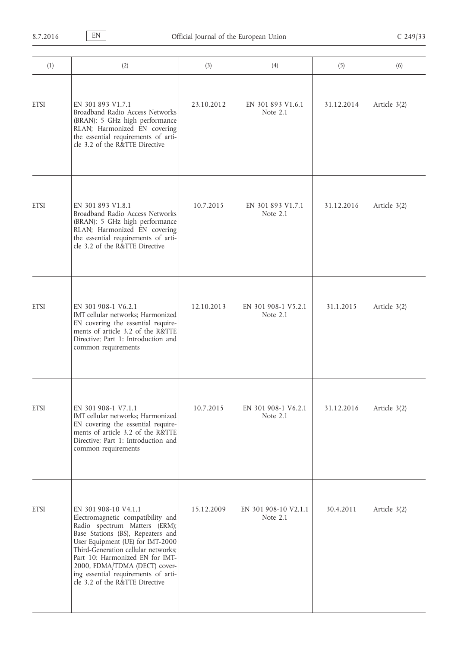| (1)         | (2)                                                                                                                                                                                                                                                                                                                                                     | (3)        | (4)                              | (5)        | (6)          |
|-------------|---------------------------------------------------------------------------------------------------------------------------------------------------------------------------------------------------------------------------------------------------------------------------------------------------------------------------------------------------------|------------|----------------------------------|------------|--------------|
| <b>ETSI</b> | EN 301 893 V1.7.1<br>Broadband Radio Access Networks<br>(BRAN); 5 GHz high performance<br>RLAN; Harmonized EN covering<br>the essential requirements of arti-<br>cle 3.2 of the R&TTE Directive                                                                                                                                                         | 23.10.2012 | EN 301 893 V1.6.1<br>Note 2.1    | 31.12.2014 | Article 3(2) |
| <b>ETSI</b> | EN 301 893 V1.8.1<br>Broadband Radio Access Networks<br>(BRAN); 5 GHz high performance<br>RLAN; Harmonized EN covering<br>the essential requirements of arti-<br>cle 3.2 of the R&TTE Directive                                                                                                                                                         | 10.7.2015  | EN 301 893 V1.7.1<br>Note 2.1    | 31.12.2016 | Article 3(2) |
| <b>ETSI</b> | EN 301 908-1 V6.2.1<br>IMT cellular networks; Harmonized<br>EN covering the essential require-<br>ments of article 3.2 of the R&TTE<br>Directive; Part 1: Introduction and<br>common requirements                                                                                                                                                       | 12.10.2013 | EN 301 908-1 V5.2.1<br>Note 2.1  | 31.1.2015  | Article 3(2) |
| <b>ETSI</b> | EN 301 908-1 V7.1.1<br>IMT cellular networks; Harmonized<br>EN covering the essential require-<br>ments of article 3.2 of the R&TTE<br>Directive; Part 1: Introduction and<br>common requirements                                                                                                                                                       | 10.7.2015  | EN 301 908-1 V6.2.1<br>Note 2.1  | 31.12.2016 | Article 3(2) |
| <b>ETSI</b> | EN 301 908-10 V4.1.1<br>Electromagnetic compatibility and<br>Radio spectrum Matters (ERM);<br>Base Stations (BS), Repeaters and<br>User Equipment (UE) for IMT-2000<br>Third-Generation cellular networks;<br>Part 10: Harmonized EN for IMT-<br>2000, FDMA/TDMA (DECT) cover-<br>ing essential requirements of arti-<br>cle 3.2 of the R&TTE Directive | 15.12.2009 | EN 301 908-10 V2.1.1<br>Note 2.1 | 30.4.2011  | Article 3(2) |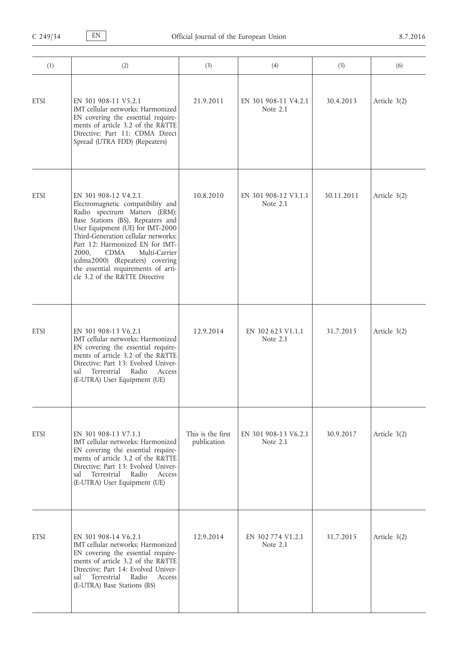| (1)         | (2)                                                                                                                                                                                                                                                                                                                                                                                         | (3)                              | (4)                              | (5)        | (6)          |
|-------------|---------------------------------------------------------------------------------------------------------------------------------------------------------------------------------------------------------------------------------------------------------------------------------------------------------------------------------------------------------------------------------------------|----------------------------------|----------------------------------|------------|--------------|
| <b>ETSI</b> | EN 301 908-11 V5.2.1<br>IMT cellular networks; Harmonized<br>EN covering the essential require-<br>ments of article 3.2 of the R&TTE<br>Directive; Part 11: CDMA Direct<br>Spread (UTRA FDD) (Repeaters)                                                                                                                                                                                    | 21.9.2011                        | EN 301 908-11 V4.2.1<br>Note 2.1 | 30.4.2013  | Article 3(2) |
| <b>ETSI</b> | EN 301 908-12 V4.2.1<br>Electromagnetic compatibility and<br>Radio spectrum Matters (ERM);<br>Base Stations (BS), Repeaters and<br>User Equipment (UE) for IMT-2000<br>Third-Generation cellular networks;<br>Part 12: Harmonized EN for IMT-<br>2000,<br>CDMA<br>Multi-Carrier<br>(cdma2000) (Repeaters) covering<br>the essential requirements of arti-<br>cle 3.2 of the R&TTE Directive | 10.8.2010                        | EN 301 908-12 V3.1.1<br>Note 2.1 | 30.11.2011 | Article 3(2) |
| <b>ETSI</b> | EN 301 908-13 V6.2.1<br>IMT cellular networks; Harmonized<br>EN covering the essential require-<br>ments of article 3.2 of the R&TTE<br>Directive; Part 13: Evolved Univer-<br>sal<br>Terrestrial Radio<br>Access<br>(E-UTRA) User Equipment (UE)                                                                                                                                           | 12.9.2014                        | EN 302 623 V1.1.1<br>Note $2.1$  | 31.7.2015  | Article 3(2) |
| <b>ETSI</b> | EN 301 908-13 V7.1.1<br>IMT cellular networks; Harmonized<br>EN covering the essential require-<br>ments of article 3.2 of the R&TTE<br>Directive; Part 13: Evolved Univer-<br>Terrestrial<br>Radio<br>Access<br>sal<br>(E-UTRA) User Equipment (UE)                                                                                                                                        | This is the first<br>publication | EN 301 908-13 V6.2.1<br>Note 2.1 | 30.9.2017  | Article 3(2) |
| <b>ETSI</b> | EN 301 908-14 V6.2.1<br>IMT cellular networks; Harmonized<br>EN covering the essential require-<br>ments of article 3.2 of the R&TTE<br>Directive; Part 14: Evolved Univer-<br>Terrestrial<br>Radio<br>sal<br>Access<br>(E-UTRA) Base Stations (BS)                                                                                                                                         | 12.9.2014                        | EN 302 774 V1.2.1<br>Note 2.1    | 31.7.2015  | Article 3(2) |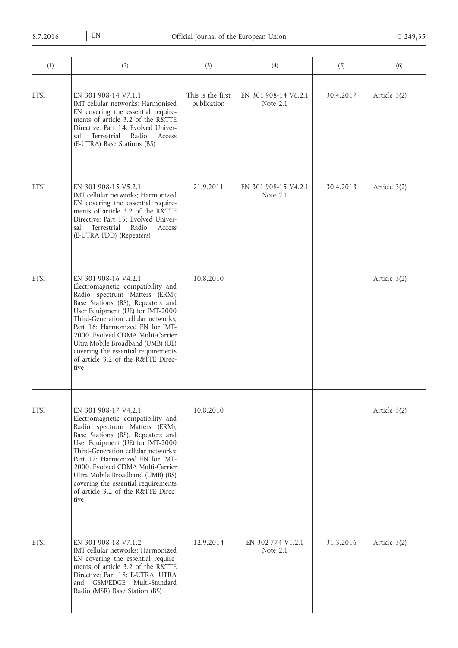| (1)         | (2)                                                                                                                                                                                                                                                                                                                                                                                                         | (3)                              | (4)                              | (5)       | (6)          |
|-------------|-------------------------------------------------------------------------------------------------------------------------------------------------------------------------------------------------------------------------------------------------------------------------------------------------------------------------------------------------------------------------------------------------------------|----------------------------------|----------------------------------|-----------|--------------|
| <b>ETSI</b> | EN 301 908-14 V7.1.1<br>IMT cellular networks; Harmonised<br>EN covering the essential require-<br>ments of article 3.2 of the R&TTE<br>Directive; Part 14: Evolved Univer-<br>Terrestrial<br>Radio<br>sal<br>Access<br>(E-UTRA) Base Stations (BS)                                                                                                                                                         | This is the first<br>publication | EN 301 908-14 V6.2.1<br>Note 2.1 | 30.4.2017 | Article 3(2) |
| <b>ETSI</b> | EN 301 908-15 V5.2.1<br>IMT cellular networks; Harmonized<br>EN covering the essential require-<br>ments of article 3.2 of the R&TTE<br>Directive; Part 15: Evolved Univer-<br>Terrestrial<br>Radio<br>sal<br>Access<br>(E-UTRA FDD) (Repeaters)                                                                                                                                                            | 21.9.2011                        | EN 301 908-15 V4.2.1<br>Note 2.1 | 30.4.2013 | Article 3(2) |
| <b>ETSI</b> | EN 301 908-16 V4.2.1<br>Electromagnetic compatibility and<br>Radio spectrum Matters (ERM);<br>Base Stations (BS), Repeaters and<br>User Equipment (UE) for IMT-2000<br>Third-Generation cellular networks;<br>Part 16: Harmonized EN for IMT-<br>2000, Evolved CDMA Multi-Carrier<br>Ultra Mobile Broadband (UMB) (UE)<br>covering the essential requirements<br>of article 3.2 of the R&TTE Direc-<br>tive | 10.8.2010                        |                                  |           | Article 3(2) |
| <b>ETSI</b> | EN 301 908-17 V4.2.1<br>Electromagnetic compatibility and<br>Radio spectrum Matters (ERM);<br>Base Stations (BS), Repeaters and<br>User Equipment (UE) for IMT-2000<br>Third-Generation cellular networks;<br>Part 17: Harmonized EN for IMT-<br>2000, Evolved CDMA Multi-Carrier<br>Ultra Mobile Broadband (UMB) (BS)<br>covering the essential requirements<br>of article 3.2 of the R&TTE Direc-<br>tive | 10.8.2010                        |                                  |           | Article 3(2) |
| <b>ETSI</b> | EN 301 908-18 V7.1.2<br>IMT cellular networks; Harmonized<br>EN covering the essential require-<br>ments of article 3.2 of the R&TTE<br>Directive; Part 18: E-UTRA, UTRA<br>and GSM/EDGE Multi-Standard<br>Radio (MSR) Base Station (BS)                                                                                                                                                                    | 12.9.2014                        | EN 302 774 V1.2.1<br>Note 2.1    | 31.3.2016 | Article 3(2) |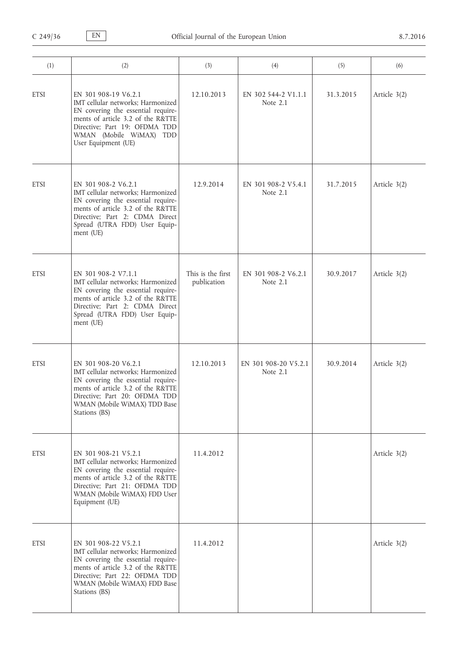| (1)         | (2)                                                                                                                                                                                                                     | (3)                              | (4)                              | (5)       | (6)          |
|-------------|-------------------------------------------------------------------------------------------------------------------------------------------------------------------------------------------------------------------------|----------------------------------|----------------------------------|-----------|--------------|
| <b>ETSI</b> | EN 301 908-19 V6.2.1<br>IMT cellular networks; Harmonized<br>EN covering the essential require-<br>ments of article 3.2 of the R&TTE<br>Directive; Part 19: OFDMA TDD<br>WMAN (Mobile WiMAX) TDD<br>User Equipment (UE) | 12.10.2013                       | EN 302 544-2 V1.1.1<br>Note 2.1  | 31.3.2015 | Article 3(2) |
| <b>ETSI</b> | EN 301 908-2 V6.2.1<br>IMT cellular networks; Harmonized<br>EN covering the essential require-<br>ments of article 3.2 of the R&TTE<br>Directive; Part 2: CDMA Direct<br>Spread (UTRA FDD) User Equip-<br>ment (UE)     | 12.9.2014                        | EN 301 908-2 V5.4.1<br>Note 2.1  | 31.7.2015 | Article 3(2) |
| <b>ETSI</b> | EN 301 908-2 V7.1.1<br>IMT cellular networks; Harmonized<br>EN covering the essential require-<br>ments of article 3.2 of the R&TTE<br>Directive; Part 2: CDMA Direct<br>Spread (UTRA FDD) User Equip-<br>ment (UE)     | This is the first<br>publication | EN 301 908-2 V6.2.1<br>Note 2.1  | 30.9.2017 | Article 3(2) |
| <b>ETSI</b> | EN 301 908-20 V6.2.1<br>IMT cellular networks; Harmonized<br>EN covering the essential require-<br>ments of article 3.2 of the R&TTE<br>Directive; Part 20: OFDMA TDD<br>WMAN (Mobile WiMAX) TDD Base<br>Stations (BS)  | 12.10.2013                       | EN 301 908-20 V5.2.1<br>Note 2.1 | 30.9.2014 | Article 3(2) |
| <b>ETSI</b> | EN 301 908-21 V5.2.1<br>IMT cellular networks; Harmonized<br>EN covering the essential require-<br>ments of article 3.2 of the R&TTE<br>Directive; Part 21: OFDMA TDD<br>WMAN (Mobile WiMAX) FDD User<br>Equipment (UE) | 11.4.2012                        |                                  |           | Article 3(2) |
| <b>ETSI</b> | EN 301 908-22 V5.2.1<br>IMT cellular networks; Harmonized<br>EN covering the essential require-<br>ments of article 3.2 of the R&TTE<br>Directive; Part 22: OFDMA TDD<br>WMAN (Mobile WiMAX) FDD Base<br>Stations (BS)  | 11.4.2012                        |                                  |           | Article 3(2) |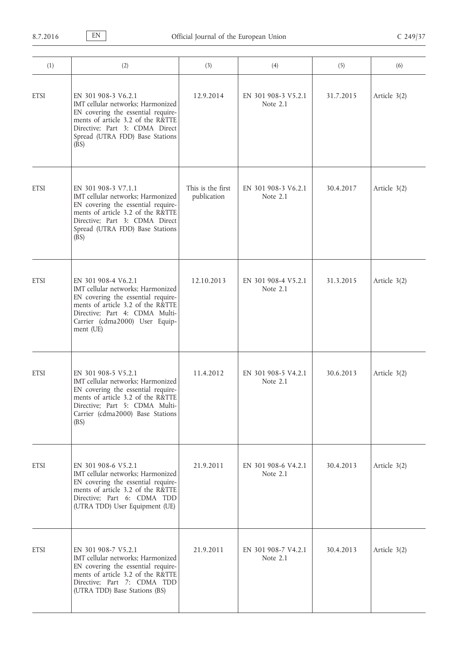| (1)         | (2)                                                                                                                                                                                                                  | (3)                              | (4)                               | (5)       | (6)          |
|-------------|----------------------------------------------------------------------------------------------------------------------------------------------------------------------------------------------------------------------|----------------------------------|-----------------------------------|-----------|--------------|
| <b>ETSI</b> | EN 301 908-3 V6.2.1<br>IMT cellular networks; Harmonized<br>EN covering the essential require-<br>ments of article 3.2 of the R&TTE<br>Directive; Part 3: CDMA Direct<br>Spread (UTRA FDD) Base Stations<br>(BS)     | 12.9.2014                        | EN 301 908-3 V5.2.1<br>Note 2.1   | 31.7.2015 | Article 3(2) |
| <b>ETSI</b> | EN 301 908-3 V7.1.1<br>IMT cellular networks; Harmonized<br>EN covering the essential require-<br>ments of article 3.2 of the R&TTE<br>Directive; Part 3: CDMA Direct<br>Spread (UTRA FDD) Base Stations<br>(BS)     | This is the first<br>publication | EN 301 908-3 V6.2.1<br>Note 2.1   | 30.4.2017 | Article 3(2) |
| <b>ETSI</b> | EN 301 908-4 V6.2.1<br>IMT cellular networks; Harmonized<br>EN covering the essential require-<br>ments of article 3.2 of the R&TTE<br>Directive; Part 4: CDMA Multi-<br>Carrier (cdma2000) User Equip-<br>ment (UE) | 12.10.2013                       | EN 301 908-4 V5.2.1<br>Note 2.1   | 31.3.2015 | Article 3(2) |
| <b>ETSI</b> | EN 301 908-5 V5.2.1<br>IMT cellular networks; Harmonized<br>EN covering the essential require-<br>ments of article 3.2 of the R&TTE<br>Directive; Part 5: CDMA Multi-<br>Carrier (cdma2000) Base Stations<br>(BS)    | 11.4.2012                        | EN 301 908-5 V4.2.1<br>Note $2.1$ | 30.6.2013 | Article 3(2) |
| <b>ETSI</b> | EN 301 908-6 V5.2.1<br>IMT cellular networks; Harmonized<br>EN covering the essential require-<br>ments of article 3.2 of the R&TTE<br>Directive; Part 6: CDMA TDD<br>(UTRA TDD) User Equipment (UE)                 | 21.9.2011                        | EN 301 908-6 V4.2.1<br>Note 2.1   | 30.4.2013 | Article 3(2) |
| <b>ETSI</b> | EN 301 908-7 V5.2.1<br>IMT cellular networks; Harmonized<br>EN covering the essential require-<br>ments of article 3.2 of the R&TTE<br>Directive; Part 7: CDMA TDD<br>(UTRA TDD) Base Stations (BS)                  | 21.9.2011                        | EN 301 908-7 V4.2.1<br>Note 2.1   | 30.4.2013 | Article 3(2) |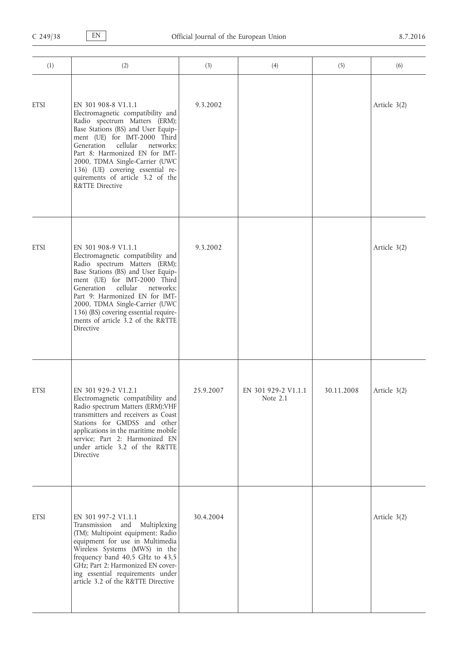| (1)         | (2)                                                                                                                                                                                                                                                                                                                                                                              | (3)       | (4)                             | (5)        | (6)          |
|-------------|----------------------------------------------------------------------------------------------------------------------------------------------------------------------------------------------------------------------------------------------------------------------------------------------------------------------------------------------------------------------------------|-----------|---------------------------------|------------|--------------|
| <b>ETSI</b> | EN 301 908-8 V1.1.1<br>Electromagnetic compatibility and<br>Radio spectrum Matters (ERM);<br>Base Stations (BS) and User Equip-<br>ment (UE) for IMT-2000 Third<br>Generation<br>cellular<br>networks;<br>Part 8: Harmonized EN for IMT-<br>2000, TDMA Single-Carrier (UWC<br>136) (UE) covering essential re-<br>quirements of article 3.2 of the<br><b>R&amp;TTE Directive</b> | 9.3.2002  |                                 |            | Article 3(2) |
| <b>ETSI</b> | EN 301 908-9 V1.1.1<br>Electromagnetic compatibility and<br>Radio spectrum Matters (ERM);<br>Base Stations (BS) and User Equip-<br>ment (UE) for IMT-2000 Third<br>Generation<br>cellular<br>networks;<br>Part 9: Harmonized EN for IMT-<br>2000, TDMA Single-Carrier (UWC<br>136) (BS) covering essential require-<br>ments of article 3.2 of the R&TTE<br>Directive            | 9.3.2002  |                                 |            | Article 3(2) |
| <b>ETSI</b> | EN 301 929-2 V1.2.1<br>Electromagnetic compatibility and<br>Radio spectrum Matters (ERM);VHF<br>transmitters and receivers as Coast<br>Stations for GMDSS and other<br>applications in the maritime mobile<br>service; Part 2: Harmonized EN<br>under article 3.2 of the R&TTE<br>Directive                                                                                      | 25.9.2007 | EN 301 929-2 V1.1.1<br>Note 2.1 | 30.11.2008 | Article 3(2) |
| <b>ETSI</b> | EN 301 997-2 V1.1.1<br>Transmission and<br>Multiplexing<br>(TM); Multipoint equipment; Radio<br>equipment for use in Multimedia<br>Wireless Systems (MWS) in the<br>frequency band 40,5 GHz to 43,5<br>GHz; Part 2: Harmonized EN cover-<br>ing essential requirements under<br>article 3.2 of the R&TTE Directive                                                               | 30.4.2004 |                                 |            | Article 3(2) |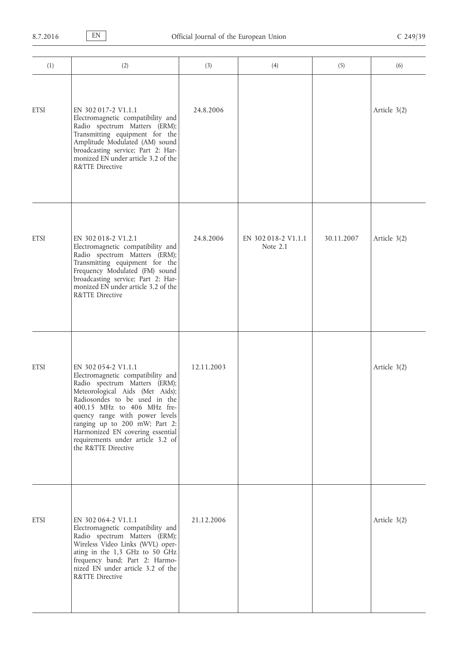| (1)         | (2)                                                                                                                                                                                                                                                                                                                                                            | (3)        | (4)                             | (5)        | (6)          |
|-------------|----------------------------------------------------------------------------------------------------------------------------------------------------------------------------------------------------------------------------------------------------------------------------------------------------------------------------------------------------------------|------------|---------------------------------|------------|--------------|
| <b>ETSI</b> | EN 302 017-2 V1.1.1<br>Electromagnetic compatibility and<br>Radio spectrum Matters (ERM);<br>Transmitting equipment for the<br>Amplitude Modulated (AM) sound<br>broadcasting service; Part 2: Har-<br>monized EN under article 3.2 of the<br><b>R&amp;TTE Directive</b>                                                                                       | 24.8.2006  |                                 |            | Article 3(2) |
| <b>ETSI</b> | EN 302 018-2 V1.2.1<br>Electromagnetic compatibility and<br>Radio spectrum Matters (ERM);<br>Transmitting equipment for the<br>Frequency Modulated (FM) sound<br>broadcasting service; Part 2: Har-<br>monized EN under article 3.2 of the<br>R&TTE Directive                                                                                                  | 24.8.2006  | EN 302 018-2 V1.1.1<br>Note 2.1 | 30.11.2007 | Article 3(2) |
| <b>ETSI</b> | EN 302 054-2 V1.1.1<br>Electromagnetic compatibility and<br>Radio spectrum Matters (ERM);<br>Meteorological Aids (Met Aids);<br>Radiosondes to be used in the<br>400,15 MHz to 406 MHz fre-<br>quency range with power levels<br>ranging up to 200 mW; Part 2:<br>Harmonized EN covering essential<br>requirements under article 3.2 of<br>the R&TTE Directive | 12.11.2003 |                                 |            | Article 3(2) |
| <b>ETSI</b> | EN 302 064-2 V1.1.1<br>Electromagnetic compatibility and<br>Radio spectrum Matters (ERM);<br>Wireless Video Links (WVL) oper-<br>ating in the 1,3 GHz to 50 GHz<br>frequency band; Part 2: Harmo-<br>nized EN under article 3.2 of the<br>R&TTE Directive                                                                                                      | 21.12.2006 |                                 |            | Article 3(2) |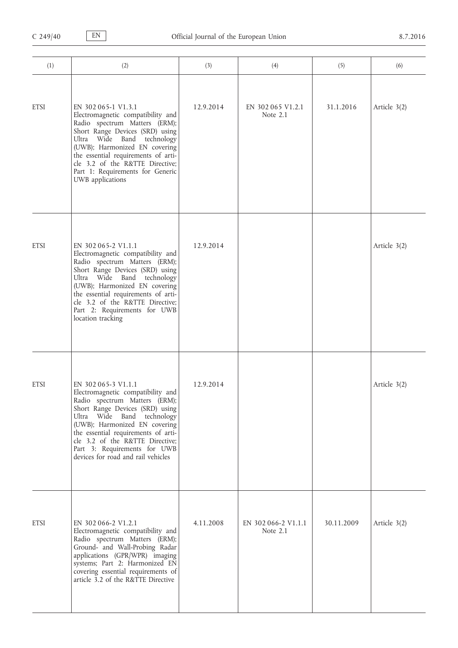| (1)         | (2)                                                                                                                                                                                                                                                                                                                                         | (3)       | (4)                             | (5)        | (6)          |
|-------------|---------------------------------------------------------------------------------------------------------------------------------------------------------------------------------------------------------------------------------------------------------------------------------------------------------------------------------------------|-----------|---------------------------------|------------|--------------|
| <b>ETSI</b> | EN 302 065-1 V1.3.1<br>Electromagnetic compatibility and<br>Radio spectrum Matters (ERM);<br>Short Range Devices (SRD) using<br>Ultra<br>Wide Band technology<br>(UWB); Harmonized EN covering<br>the essential requirements of arti-<br>cle 3.2 of the R&TTE Directive;<br>Part 1: Requirements for Generic<br>UWB applications            | 12.9.2014 | EN 302 065 V1.2.1<br>Note 2.1   | 31.1.2016  | Article 3(2) |
| <b>ETSI</b> | EN 302 065-2 V1.1.1<br>Electromagnetic compatibility and<br>Radio spectrum Matters (ERM);<br>Short Range Devices (SRD) using<br>Ultra<br>Wide Band technology<br>(UWB); Harmonized EN covering<br>the essential requirements of arti-<br>cle 3.2 of the R&TTE Directive;<br>Part 2: Requirements for UWB<br>location tracking               | 12.9.2014 |                                 |            | Article 3(2) |
| <b>ETSI</b> | EN 302 065-3 V1.1.1<br>Electromagnetic compatibility and<br>Radio spectrum Matters (ERM);<br>Short Range Devices (SRD) using<br>Ultra Wide Band technology<br>(UWB); Harmonized EN covering<br>the essential requirements of arti-<br>cle 3.2 of the R&TTE Directive;<br>Part 3: Requirements for UWB<br>devices for road and rail vehicles | 12.9.2014 |                                 |            | Article 3(2) |
| <b>ETSI</b> | EN 302 066-2 V1.2.1<br>Electromagnetic compatibility and<br>Radio spectrum Matters (ERM);<br>Ground- and Wall-Probing Radar<br>applications (GPR/WPR) imaging<br>systems; Part 2: Harmonized EN<br>covering essential requirements of<br>article 3.2 of the R&TTE Directive                                                                 | 4.11.2008 | EN 302 066-2 V1.1.1<br>Note 2.1 | 30.11.2009 | Article 3(2) |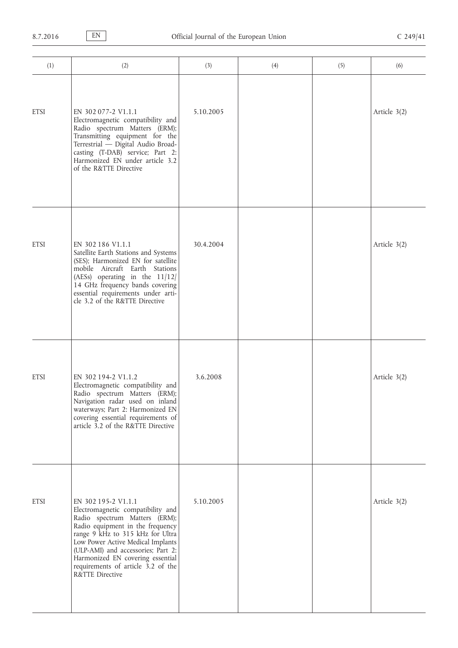| (1)         | (2)                                                                                                                                                                                                                                                                                                                                       | (3)       | (4) | (5) | (6)          |
|-------------|-------------------------------------------------------------------------------------------------------------------------------------------------------------------------------------------------------------------------------------------------------------------------------------------------------------------------------------------|-----------|-----|-----|--------------|
| <b>ETSI</b> | EN 302 077-2 V1.1.1<br>Electromagnetic compatibility and<br>Radio spectrum Matters (ERM);<br>Transmitting equipment for the<br>Terrestrial - Digital Audio Broad-<br>casting (T-DAB) service; Part 2:<br>Harmonized EN under article 3.2<br>of the R&TTE Directive                                                                        | 5.10.2005 |     |     | Article 3(2) |
| <b>ETSI</b> | EN 302 186 V1.1.1<br>Satellite Earth Stations and Systems<br>(SES); Harmonized EN for satellite<br>mobile Aircraft Earth Stations<br>(AESs) operating in the 11/12/<br>14 GHz frequency bands covering<br>essential requirements under arti-<br>cle 3.2 of the R&TTE Directive                                                            | 30.4.2004 |     |     | Article 3(2) |
| <b>ETSI</b> | EN 302 194-2 V1.1.2<br>Electromagnetic compatibility and<br>Radio spectrum Matters (ERM);<br>Navigation radar used on inland<br>waterways; Part 2: Harmonized EN<br>covering essential requirements of<br>article 3.2 of the R&TTE Directive                                                                                              | 3.6.2008  |     |     | Article 3(2) |
| <b>ETSI</b> | EN 302 195-2 V1.1.1<br>Electromagnetic compatibility and<br>Radio spectrum Matters (ERM);<br>Radio equipment in the frequency<br>range 9 kHz to 315 kHz for Ultra<br>Low Power Active Medical Implants<br>(ULP-AMI) and accessories; Part 2:<br>Harmonized EN covering essential<br>requirements of article 3.2 of the<br>R&TTE Directive | 5.10.2005 |     |     | Article 3(2) |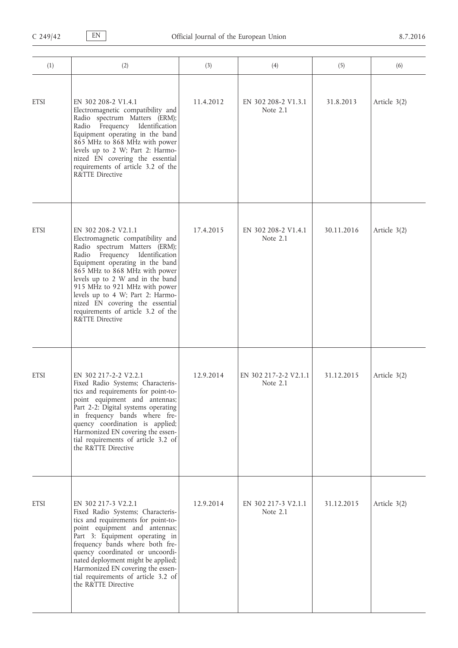| (1)         | (2)                                                                                                                                                                                                                                                                                                                                                                                                                | (3)       | (4)                               | (5)        | (6)          |
|-------------|--------------------------------------------------------------------------------------------------------------------------------------------------------------------------------------------------------------------------------------------------------------------------------------------------------------------------------------------------------------------------------------------------------------------|-----------|-----------------------------------|------------|--------------|
| <b>ETSI</b> | EN 302 208-2 V1.4.1<br>Electromagnetic compatibility and<br>Radio spectrum Matters (ERM);<br>Radio Frequency Identification<br>Equipment operating in the band<br>865 MHz to 868 MHz with power<br>levels up to 2 W; Part 2: Harmo-<br>nized EN covering the essential<br>requirements of article 3.2 of the<br><b>R&amp;TTE Directive</b>                                                                         | 11.4.2012 | EN 302 208-2 V1.3.1<br>Note $2.1$ | 31.8.2013  | Article 3(2) |
| <b>ETSI</b> | EN 302 208-2 V2.1.1<br>Electromagnetic compatibility and<br>Radio spectrum Matters (ERM);<br>Frequency Identification<br>Radio<br>Equipment operating in the band<br>865 MHz to 868 MHz with power<br>levels up to 2 W and in the band<br>915 MHz to 921 MHz with power<br>levels up to 4 W; Part 2: Harmo-<br>nized EN covering the essential<br>requirements of article 3.2 of the<br><b>R&amp;TTE Directive</b> | 17.4.2015 | EN 302 208-2 V1.4.1<br>Note 2.1   | 30.11.2016 | Article 3(2) |
| <b>ETSI</b> | EN 302 217-2-2 V2.2.1<br>Fixed Radio Systems; Characteris-<br>tics and requirements for point-to-<br>point equipment and antennas;<br>Part 2-2: Digital systems operating<br>in frequency bands where fre-<br>quency coordination is applied;<br>Harmonized EN covering the essen-<br>tial requirements of article 3.2 of<br>the R&TTE Directive                                                                   | 12.9.2014 | EN 302 217-2-2 V2.1.1<br>Note 2.1 | 31.12.2015 | Article 3(2) |
| <b>ETSI</b> | EN 302 217-3 V2.2.1<br>Fixed Radio Systems; Characteris-<br>tics and requirements for point-to-<br>point equipment and antennas;<br>Part 3: Equipment operating in<br>frequency bands where both fre-<br>quency coordinated or uncoordi-<br>nated deployment might be applied;<br>Harmonized EN covering the essen-<br>tial requirements of article 3.2 of<br>the R&TTE Directive                                  | 12.9.2014 | EN 302 217-3 V2.1.1<br>Note $2.1$ | 31.12.2015 | Article 3(2) |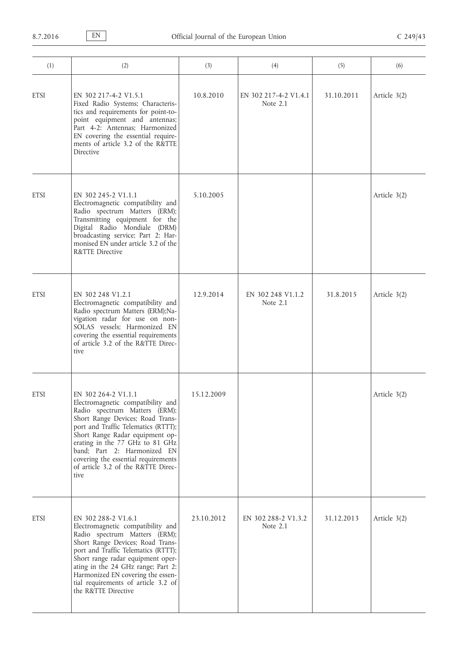| (1)         | (2)                                                                                                                                                                                                                                                                                                                                                            | (3)        | (4)                               | (5)        | (6)          |
|-------------|----------------------------------------------------------------------------------------------------------------------------------------------------------------------------------------------------------------------------------------------------------------------------------------------------------------------------------------------------------------|------------|-----------------------------------|------------|--------------|
| <b>ETSI</b> | EN 302 217-4-2 V1.5.1<br>Fixed Radio Systems; Characteris-<br>tics and requirements for point-to-<br>point equipment and antennas;<br>Part 4-2: Antennas; Harmonized<br>EN covering the essential require-<br>ments of article 3.2 of the R&TTE<br>Directive                                                                                                   | 10.8.2010  | EN 302 217-4-2 V1.4.1<br>Note 2.1 | 31.10.2011 | Article 3(2) |
| <b>ETSI</b> | EN 302 245-2 V1.1.1<br>Electromagnetic compatibility and<br>Radio spectrum Matters (ERM);<br>Transmitting equipment for the<br>Digital Radio Mondiale (DRM)<br>broadcasting service; Part 2: Har-<br>monised EN under article 3.2 of the<br><b>R&amp;TTE Directive</b>                                                                                         | 5.10.2005  |                                   |            | Article 3(2) |
| <b>ETSI</b> | EN 302 248 V1.2.1<br>Electromagnetic compatibility and<br>Radio spectrum Matters (ERM);Na-<br>vigation radar for use on non-<br>SOLAS vessels; Harmonized EN<br>covering the essential requirements<br>of article 3.2 of the R&TTE Direc-<br>tive                                                                                                              | 12.9.2014  | EN 302 248 V1.1.2<br>Note $2.1$   | 31.8.2015  | Article 3(2) |
| <b>ETSI</b> | EN 302 264-2 V1.1.1<br>Electromagnetic compatibility and<br>Radio spectrum Matters (ERM);<br>Short Range Devices; Road Trans-<br>port and Traffic Telematics (RTTT);<br>Short Range Radar equipment op-<br>erating in the 77 GHz to 81 GHz<br>band; Part 2: Harmonized EN<br>covering the essential requirements<br>of article 3.2 of the R&TTE Direc-<br>tive | 15.12.2009 |                                   |            | Article 3(2) |
| <b>ETSI</b> | EN 302 288-2 V1.6.1<br>Electromagnetic compatibility and<br>Radio spectrum Matters (ERM);<br>Short Range Devices; Road Trans-<br>port and Traffic Telematics (RTTT);<br>Short range radar equipment oper-<br>ating in the 24 GHz range; Part 2:<br>Harmonized EN covering the essen-<br>tial requirements of article 3.2 of<br>the R&TTE Directive             | 23.10.2012 | EN 302 288-2 V1.3.2<br>Note 2.1   | 31.12.2013 | Article 3(2) |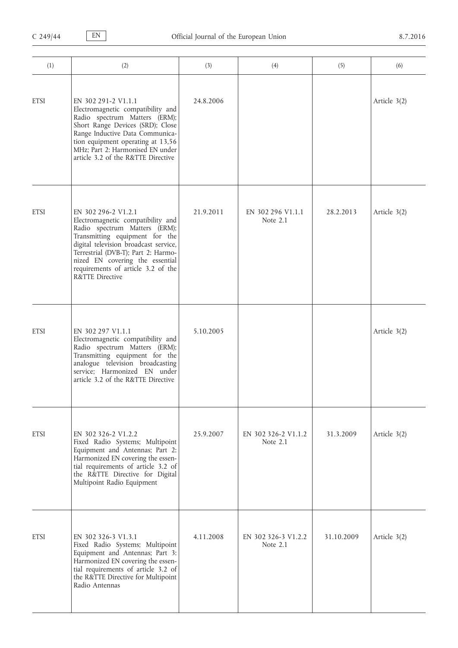| (1)         | (2)                                                                                                                                                                                                                                                                                                                | (3)       | (4)                               | (5)        | (6)          |
|-------------|--------------------------------------------------------------------------------------------------------------------------------------------------------------------------------------------------------------------------------------------------------------------------------------------------------------------|-----------|-----------------------------------|------------|--------------|
| <b>ETSI</b> | EN 302 291-2 V1.1.1<br>Electromagnetic compatibility and<br>Radio spectrum Matters (ERM);<br>Short Range Devices (SRD); Close<br>Range Inductive Data Communica-<br>tion equipment operating at 13,56<br>MHz; Part 2: Harmonised EN under<br>article 3.2 of the R&TTE Directive                                    | 24.8.2006 |                                   |            | Article 3(2) |
| <b>ETSI</b> | EN 302 296-2 V1.2.1<br>Electromagnetic compatibility and<br>Radio spectrum Matters (ERM);<br>Transmitting equipment for the<br>digital television broadcast service,<br>Terrestrial (DVB-T); Part 2: Harmo-<br>nized EN covering the essential<br>requirements of article 3.2 of the<br><b>R&amp;TTE Directive</b> | 21.9.2011 | EN 302 296 V1.1.1<br>Note $2.1$   | 28.2.2013  | Article 3(2) |
| <b>ETSI</b> | EN 302 297 V1.1.1<br>Electromagnetic compatibility and<br>Radio spectrum Matters (ERM);<br>Transmitting equipment for the<br>analogue television broadcasting<br>service; Harmonized EN under<br>article 3.2 of the R&TTE Directive                                                                                | 5.10.2005 |                                   |            | Article 3(2) |
| <b>ETSI</b> | EN 302 326-2 V1.2.2<br>Fixed Radio Systems; Multipoint<br>Equipment and Antennas; Part 2:<br>Harmonized EN covering the essen-<br>tial requirements of article 3.2 of<br>the R&TTE Directive for Digital<br>Multipoint Radio Equipment                                                                             | 25.9.2007 | EN 302 326-2 V1.1.2<br>Note $2.1$ | 31.3.2009  | Article 3(2) |
| <b>ETSI</b> | EN 302 326-3 V1.3.1<br>Fixed Radio Systems; Multipoint<br>Equipment and Antennas; Part 3:<br>Harmonized EN covering the essen-<br>tial requirements of article 3.2 of<br>the R&TTE Directive for Multipoint<br>Radio Antennas                                                                                      | 4.11.2008 | EN 302 326-3 V1.2.2<br>Note 2.1   | 31.10.2009 | Article 3(2) |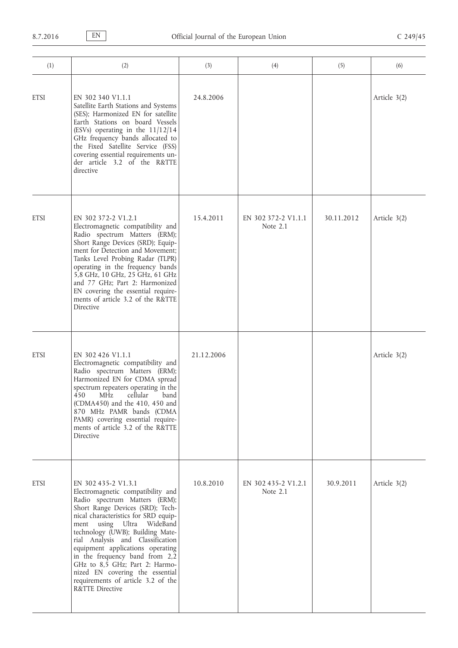| (1)         | (2)                                                                                                                                                                                                                                                                                                                                                                                                                                                                               | (3)        | (4)                               | (5)        | (6)          |
|-------------|-----------------------------------------------------------------------------------------------------------------------------------------------------------------------------------------------------------------------------------------------------------------------------------------------------------------------------------------------------------------------------------------------------------------------------------------------------------------------------------|------------|-----------------------------------|------------|--------------|
| <b>ETSI</b> | EN 302 340 V1.1.1<br>Satellite Earth Stations and Systems<br>(SES); Harmonized EN for satellite<br>Earth Stations on board Vessels<br>(ESVs) operating in the $11/12/14$<br>GHz frequency bands allocated to<br>the Fixed Satellite Service (FSS)<br>covering essential requirements un-<br>der article 3.2 of the R&TTE<br>directive                                                                                                                                             | 24.8.2006  |                                   |            | Article 3(2) |
| <b>ETSI</b> | EN 302 372-2 V1.2.1<br>Electromagnetic compatibility and<br>Radio spectrum Matters (ERM);<br>Short Range Devices (SRD); Equip-<br>ment for Detection and Movement;<br>Tanks Level Probing Radar (TLPR)<br>operating in the frequency bands<br>5,8 GHz, 10 GHz, 25 GHz, 61 GHz<br>and 77 GHz; Part 2: Harmonized<br>EN covering the essential require-<br>ments of article 3.2 of the R&TTE<br>Directive                                                                           | 15.4.2011  | EN 302 372-2 V1.1.1<br>Note $2.1$ | 30.11.2012 | Article 3(2) |
| <b>ETSI</b> | EN 302 426 V1.1.1<br>Electromagnetic compatibility and<br>Radio spectrum Matters (ERM);<br>Harmonized EN for CDMA spread<br>spectrum repeaters operating in the<br>450<br>cellular<br><b>MHz</b><br>band<br>(CDMA450) and the 410, 450 and<br>870 MHz PAMR bands (CDMA<br>PAMR) covering essential require-<br>ments of article 3.2 of the R&TTE<br>Directive                                                                                                                     | 21.12.2006 |                                   |            | Article 3(2) |
| <b>ETSI</b> | EN 302 435-2 V1.3.1<br>Electromagnetic compatibility and<br>Radio spectrum Matters (ERM);<br>Short Range Devices (SRD); Tech-<br>nical characteristics for SRD equip-<br>using Ultra WideBand<br>ment<br>technology (UWB); Building Mate-<br>rial Analysis and Classification<br>equipment applications operating<br>in the frequency band from 2,2<br>GHz to 8,5 GHz; Part 2: Harmo-<br>nized EN covering the essential<br>requirements of article 3.2 of the<br>R&TTE Directive | 10.8.2010  | EN 302 435-2 V1.2.1<br>Note $2.1$ | 30.9.2011  | Article 3(2) |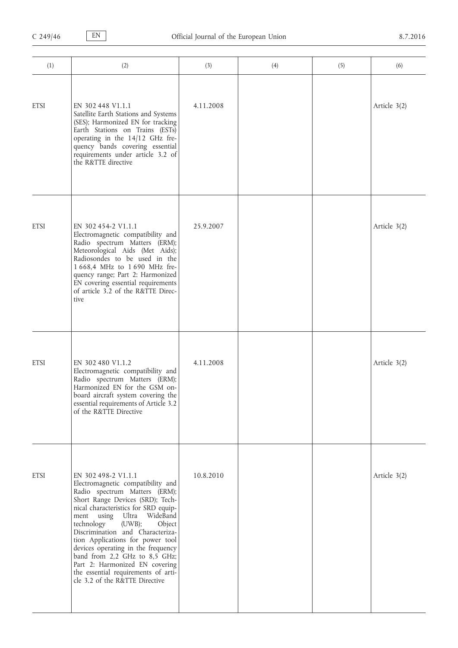| (1)         | (2)                                                                                                                                                                                                                                                                                                                                                                                                                                                                                               | (3)       | (4) | (5) | (6)          |
|-------------|---------------------------------------------------------------------------------------------------------------------------------------------------------------------------------------------------------------------------------------------------------------------------------------------------------------------------------------------------------------------------------------------------------------------------------------------------------------------------------------------------|-----------|-----|-----|--------------|
| <b>ETSI</b> | EN 302 448 V1.1.1<br>Satellite Earth Stations and Systems<br>(SES); Harmonized EN for tracking<br>Earth Stations on Trains (ESTs)<br>operating in the 14/12 GHz fre-<br>quency bands covering essential<br>requirements under article 3.2 of<br>the R&TTE directive                                                                                                                                                                                                                               | 4.11.2008 |     |     | Article 3(2) |
| <b>ETSI</b> | EN 302 454-2 V1.1.1<br>Electromagnetic compatibility and<br>Radio spectrum Matters (ERM);<br>Meteorological Aids (Met Aids);<br>Radiosondes to be used in the<br>1 668,4 MHz to 1 690 MHz fre-<br>quency range; Part 2: Harmonized<br>EN covering essential requirements<br>of article 3.2 of the R&TTE Direc-<br>tive                                                                                                                                                                            | 25.9.2007 |     |     | Article 3(2) |
| <b>ETSI</b> | EN 302 480 V1.1.2<br>Electromagnetic compatibility and<br>Radio spectrum Matters (ERM);<br>Harmonized EN for the GSM on-<br>board aircraft system covering the<br>essential requirements of Article 3.2<br>of the R&TTE Directive                                                                                                                                                                                                                                                                 | 4.11.2008 |     |     | Article 3(2) |
| <b>ETSI</b> | EN 302 498-2 V1.1.1<br>Electromagnetic compatibility and<br>Radio spectrum Matters (ERM);<br>Short Range Devices (SRD); Tech-<br>nical characteristics for SRD equip-<br>using Ultra WideBand<br>ment<br>technology<br>(UWB);<br>Object<br>Discrimination and Characteriza-<br>tion Applications for power tool<br>devices operating in the frequency<br>band from 2,2 GHz to 8,5 GHz;<br>Part 2: Harmonized EN covering<br>the essential requirements of arti-<br>cle 3.2 of the R&TTE Directive | 10.8.2010 |     |     | Article 3(2) |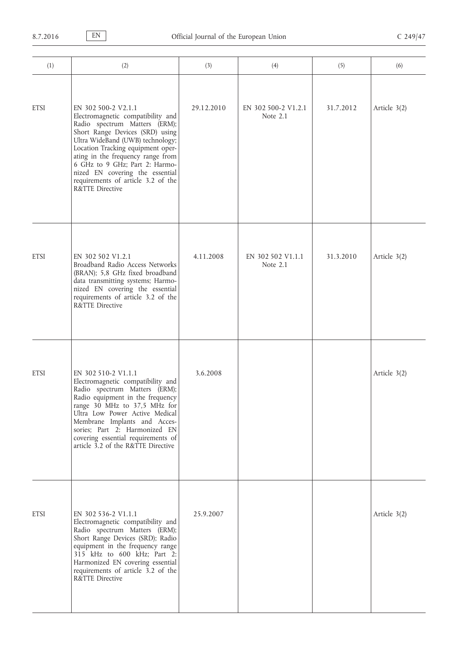| (1)         | (2)                                                                                                                                                                                                                                                                                                                                                                      | (3)        | (4)                             | (5)       | (6)          |
|-------------|--------------------------------------------------------------------------------------------------------------------------------------------------------------------------------------------------------------------------------------------------------------------------------------------------------------------------------------------------------------------------|------------|---------------------------------|-----------|--------------|
| <b>ETSI</b> | EN 302 500-2 V2.1.1<br>Electromagnetic compatibility and<br>Radio spectrum Matters (ERM);<br>Short Range Devices (SRD) using<br>Ultra WideBand (UWB) technology;<br>Location Tracking equipment oper-<br>ating in the frequency range from<br>6 GHz to 9 GHz; Part 2: Harmo-<br>nized EN covering the essential<br>requirements of article 3.2 of the<br>R&TTE Directive | 29.12.2010 | EN 302 500-2 V1.2.1<br>Note 2.1 | 31.7.2012 | Article 3(2) |
| <b>ETSI</b> | EN 302 502 V1.2.1<br>Broadband Radio Access Networks<br>(BRAN); 5,8 GHz fixed broadband<br>data transmitting systems; Harmo-<br>nized EN covering the essential<br>requirements of article 3.2 of the<br><b>R&amp;TTE Directive</b>                                                                                                                                      | 4.11.2008  | EN 302 502 V1.1.1<br>Note 2.1   | 31.3.2010 | Article 3(2) |
| <b>ETSI</b> | EN 302 510-2 V1.1.1<br>Electromagnetic compatibility and<br>Radio spectrum Matters (ERM);<br>Radio equipment in the frequency<br>range 30 MHz to 37,5 MHz for<br>Ultra Low Power Active Medical<br>Membrane Implants and Acces-<br>sories; Part 2: Harmonized EN<br>covering essential requirements of<br>article 3.2 of the R&TTE Directive                             | 3.6.2008   |                                 |           | Article 3(2) |
| <b>ETSI</b> | EN 302 536-2 V1.1.1<br>Electromagnetic compatibility and<br>Radio spectrum Matters (ERM);<br>Short Range Devices (SRD); Radio<br>equipment in the frequency range<br>315 kHz to 600 kHz; Part 2:<br>Harmonized EN covering essential<br>requirements of article 3.2 of the<br><b>R&amp;TTE Directive</b>                                                                 | 25.9.2007  |                                 |           | Article 3(2) |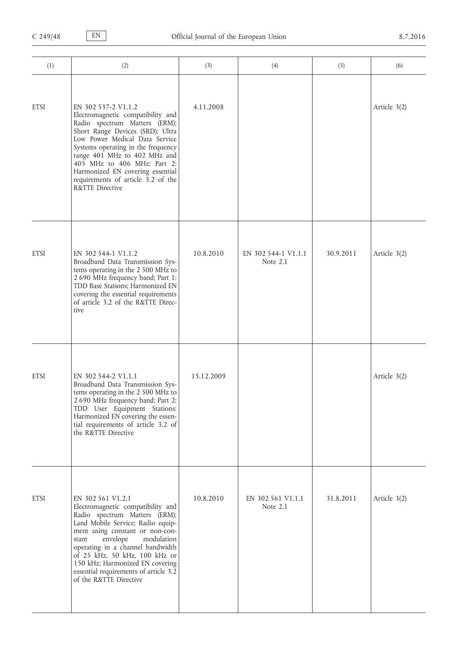| (1)         | (2)                                                                                                                                                                                                                                                                                                                                                                           | (3)        | (4)                             | (5)       | (6)          |
|-------------|-------------------------------------------------------------------------------------------------------------------------------------------------------------------------------------------------------------------------------------------------------------------------------------------------------------------------------------------------------------------------------|------------|---------------------------------|-----------|--------------|
| <b>ETSI</b> | EN 302 537-2 V1.1.2<br>Electromagnetic compatibility and<br>Radio spectrum Matters (ERM);<br>Short Range Devices (SRD); Ultra<br>Low Power Medical Data Service<br>Systems operating in the frequency<br>range 401 MHz to 402 MHz and<br>405 MHz to 406 MHz; Part 2:<br>Harmonized EN covering essential<br>requirements of article 3.2 of the<br>R&TTE Directive             | 4.11.2008  |                                 |           | Article 3(2) |
| <b>ETSI</b> | EN 302 544-1 V1.1.2<br>Broadband Data Transmission Sys-<br>tems operating in the 2 500 MHz to<br>2 690 MHz frequency band; Part 1:<br>TDD Base Stations; Harmonized EN<br>covering the essential requirements<br>of article 3.2 of the R&TTE Direc-<br>tive                                                                                                                   | 10.8.2010  | EN 302 544-1 V1.1.1<br>Note 2.1 | 30.9.2011 | Article 3(2) |
| <b>ETSI</b> | EN 302 544-2 V1.1.1<br>Broadband Data Transmission Sys-<br>tems operating in the 2 500 MHz to<br>2 690 MHz frequency band; Part 2:<br>TDD User Equipment Stations;<br>Harmonized EN covering the essen-<br>tial requirements of article 3.2 of<br>the R&TTE Directive                                                                                                         | 15.12.2009 |                                 |           | Article 3(2) |
| <b>ETSI</b> | EN 302 561 V1.2.1<br>Electromagnetic compatibility and<br>Radio spectrum Matters (ERM);<br>Land Mobile Service; Radio equip-<br>ment using constant or non-con-<br>envelope<br>modulation<br>stant<br>operating in a channel bandwidth<br>of 25 kHz, 50 kHz, 100 kHz or<br>150 kHz; Harmonized EN covering<br>essential requirements of article 3.2<br>of the R&TTE Directive | 10.8.2010  | EN 302 561 V1.1.1<br>Note 2.1   | 31.8.2011 | Article 3(2) |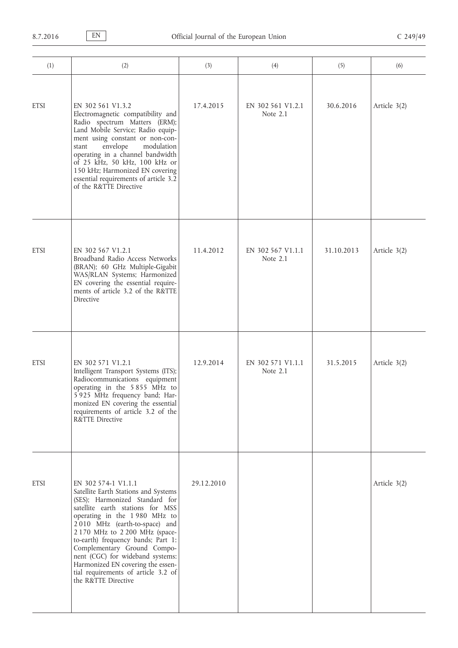| (1)         | (2)                                                                                                                                                                                                                                                                                                                                                                                                                                              | (3)        | (4)                             | (5)        | (6)          |
|-------------|--------------------------------------------------------------------------------------------------------------------------------------------------------------------------------------------------------------------------------------------------------------------------------------------------------------------------------------------------------------------------------------------------------------------------------------------------|------------|---------------------------------|------------|--------------|
| <b>ETSI</b> | EN 302 561 V1.3.2<br>Electromagnetic compatibility and<br>Radio spectrum Matters (ERM);<br>Land Mobile Service; Radio equip-<br>ment using constant or non-con-<br>envelope<br>modulation<br>stant<br>operating in a channel bandwidth<br>of 25 kHz, 50 kHz, 100 kHz or<br>150 kHz; Harmonized EN covering<br>essential requirements of article 3.2<br>of the R&TTE Directive                                                                    | 17.4.2015  | EN 302 561 V1.2.1<br>Note $2.1$ | 30.6.2016  | Article 3(2) |
| <b>ETSI</b> | EN 302 567 V1.2.1<br>Broadband Radio Access Networks<br>(BRAN); 60 GHz Multiple-Gigabit<br>WAS/RLAN Systems; Harmonized<br>EN covering the essential require-<br>ments of article 3.2 of the R&TTE<br>Directive                                                                                                                                                                                                                                  | 11.4.2012  | EN 302 567 V1.1.1<br>Note 2.1   | 31.10.2013 | Article 3(2) |
| <b>ETSI</b> | EN 302 571 V1.2.1<br>Intelligent Transport Systems (ITS);<br>Radiocommunications equipment<br>operating in the 5855 MHz to<br>5 925 MHz frequency band; Har-<br>monized EN covering the essential<br>requirements of article 3.2 of the<br>R&TTE Directive                                                                                                                                                                                       | 12.9.2014  | EN 302 571 V1.1.1<br>Note 2.1   | 31.5.2015  | Article 3(2) |
| <b>ETSI</b> | EN 302 574-1 V1.1.1<br>Satellite Earth Stations and Systems<br>(SES); Harmonized Standard for<br>satellite earth stations for MSS<br>operating in the 1980 MHz to<br>2010 MHz (earth-to-space) and<br>2 170 MHz to 2 200 MHz (space-<br>to-earth) frequency bands; Part 1:<br>Complementary Ground Compo-<br>nent (CGC) for wideband systems:<br>Harmonized EN covering the essen-<br>tial requirements of article 3.2 of<br>the R&TTE Directive | 29.12.2010 |                                 |            | Article 3(2) |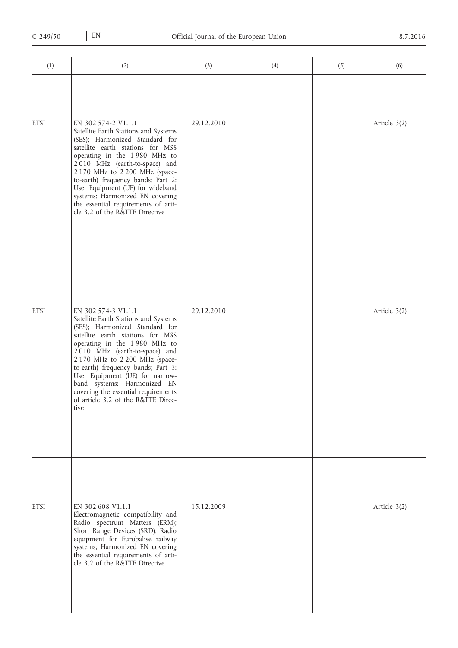| (1)         | (2)                                                                                                                                                                                                                                                                                                                                                                                                                               | (3)        | (4) | (5) | (6)          |
|-------------|-----------------------------------------------------------------------------------------------------------------------------------------------------------------------------------------------------------------------------------------------------------------------------------------------------------------------------------------------------------------------------------------------------------------------------------|------------|-----|-----|--------------|
| <b>ETSI</b> | EN 302 574-2 V1.1.1<br>Satellite Earth Stations and Systems<br>(SES); Harmonized Standard for<br>satellite earth stations for MSS<br>operating in the 1980 MHz to<br>2010 MHz (earth-to-space) and<br>2 170 MHz to 2 200 MHz (space-<br>to-earth) frequency bands; Part 2:<br>User Equipment (UE) for wideband<br>systems: Harmonized EN covering<br>the essential requirements of arti-<br>cle 3.2 of the R&TTE Directive        | 29.12.2010 |     |     | Article 3(2) |
| <b>ETSI</b> | EN 302 574-3 V1.1.1<br>Satellite Earth Stations and Systems<br>(SES); Harmonized Standard for<br>satellite earth stations for MSS<br>operating in the 1980 MHz to<br>2010 MHz (earth-to-space) and<br>2 170 MHz to 2 200 MHz (space-<br>to-earth) frequency bands; Part 3:<br>User Equipment (UE) for narrow-<br>band systems: Harmonized EN<br>covering the essential requirements<br>of article 3.2 of the R&TTE Direc-<br>tive | 29.12.2010 |     |     | Article 3(2) |
| <b>ETSI</b> | EN 302 608 V1.1.1<br>Electromagnetic compatibility and<br>Radio spectrum Matters (ERM);<br>Short Range Devices (SRD); Radio<br>equipment for Eurobalise railway<br>systems; Harmonized EN covering<br>the essential requirements of arti-<br>cle 3.2 of the R&TTE Directive                                                                                                                                                       | 15.12.2009 |     |     | Article 3(2) |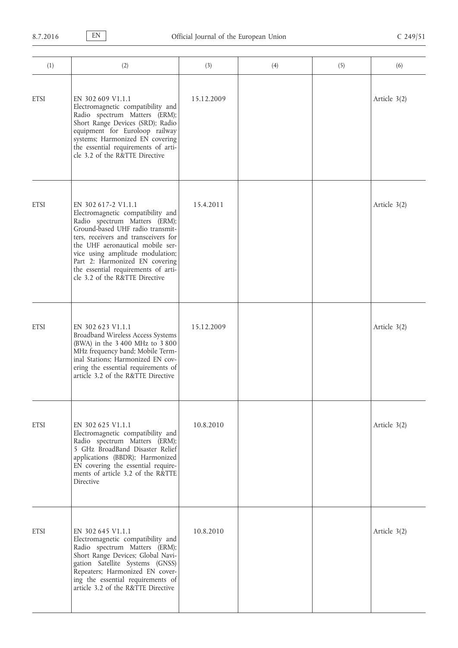| (1)         | (2)                                                                                                                                                                                                                                                                                                                                                      | (3)        | (4) | (5) | (6)          |
|-------------|----------------------------------------------------------------------------------------------------------------------------------------------------------------------------------------------------------------------------------------------------------------------------------------------------------------------------------------------------------|------------|-----|-----|--------------|
| <b>ETSI</b> | EN 302 609 V1.1.1<br>Electromagnetic compatibility and<br>Radio spectrum Matters (ERM);<br>Short Range Devices (SRD); Radio<br>equipment for Euroloop railway<br>systems; Harmonized EN covering<br>the essential requirements of arti-<br>cle 3.2 of the R&TTE Directive                                                                                | 15.12.2009 |     |     | Article 3(2) |
| <b>ETSI</b> | EN 302 617-2 V1.1.1<br>Electromagnetic compatibility and<br>Radio spectrum Matters (ERM);<br>Ground-based UHF radio transmit-<br>ters, receivers and transceivers for<br>the UHF aeronautical mobile ser-<br>vice using amplitude modulation;<br>Part 2: Harmonized EN covering<br>the essential requirements of arti-<br>cle 3.2 of the R&TTE Directive | 15.4.2011  |     |     | Article 3(2) |
| <b>ETSI</b> | EN 302 623 V1.1.1<br>Broadband Wireless Access Systems<br>(BWA) in the 3 400 MHz to 3 800<br>MHz frequency band; Mobile Term-<br>inal Stations; Harmonized EN cov-<br>ering the essential requirements of<br>article 3.2 of the R&TTE Directive                                                                                                          | 15.12.2009 |     |     | Article 3(2) |
| <b>ETSI</b> | EN 302 625 V1.1.1<br>Electromagnetic compatibility and<br>Radio spectrum Matters (ERM);<br>5 GHz BroadBand Disaster Relief<br>applications (BBDR); Harmonized<br>EN covering the essential require-<br>ments of article 3.2 of the R&TTE<br><b>Directive</b>                                                                                             | 10.8.2010  |     |     | Article 3(2) |
| <b>ETSI</b> | EN 302 645 V1.1.1<br>Electromagnetic compatibility and<br>Radio spectrum Matters (ERM);<br>Short Range Devices; Global Navi-<br>gation Satellite Systems (GNSS)<br>Repeaters; Harmonized EN cover-<br>ing the essential requirements of<br>article 3.2 of the R&TTE Directive                                                                            | 10.8.2010  |     |     | Article 3(2) |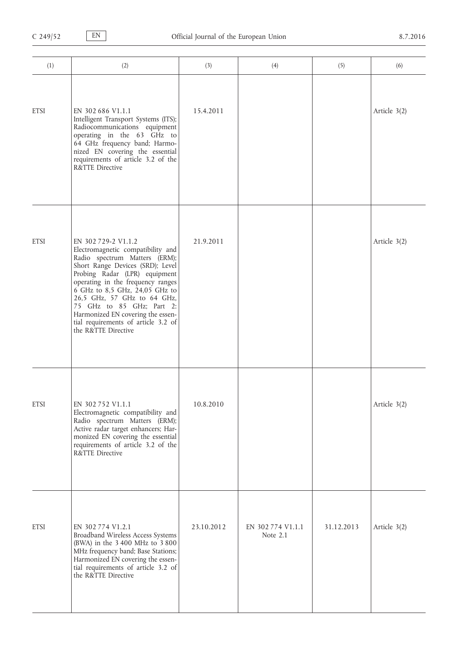| (1)         | (2)                                                                                                                                                                                                                                                                                                                                                                                                  | (3)        | (4)                           | (5)        | (6)          |
|-------------|------------------------------------------------------------------------------------------------------------------------------------------------------------------------------------------------------------------------------------------------------------------------------------------------------------------------------------------------------------------------------------------------------|------------|-------------------------------|------------|--------------|
| <b>ETSI</b> | EN 302 686 V1.1.1<br>Intelligent Transport Systems (ITS);<br>Radiocommunications equipment<br>operating in the 63 GHz to<br>64 GHz frequency band; Harmo-<br>nized EN covering the essential<br>requirements of article 3.2 of the<br>R&TTE Directive                                                                                                                                                | 15.4.2011  |                               |            | Article 3(2) |
| <b>ETSI</b> | EN 302 729-2 V1.1.2<br>Electromagnetic compatibility and<br>Radio spectrum Matters (ERM);<br>Short Range Devices (SRD); Level<br>Probing Radar (LPR) equipment<br>operating in the frequency ranges<br>6 GHz to 8,5 GHz, 24,05 GHz to<br>26,5 GHz, 57 GHz to 64 GHz,<br>75 GHz to 85 GHz; Part 2:<br>Harmonized EN covering the essen-<br>tial requirements of article 3.2 of<br>the R&TTE Directive | 21.9.2011  |                               |            | Article 3(2) |
| <b>ETSI</b> | EN 302 752 V1.1.1<br>Electromagnetic compatibility and<br>Radio spectrum Matters (ERM);<br>Active radar target enhancers; Har-<br>monized EN covering the essential<br>requirements of article 3.2 of the<br>R&TTE Directive                                                                                                                                                                         | 10.8.2010  |                               |            | Article 3(2) |
| <b>ETSI</b> | EN 302 774 V1.2.1<br>Broadband Wireless Access Systems<br>(BWA) in the 3 400 MHz to 3 800<br>MHz frequency band; Base Stations;<br>Harmonized EN covering the essen-<br>tial requirements of article 3.2 of<br>the R&TTE Directive                                                                                                                                                                   | 23.10.2012 | EN 302 774 V1.1.1<br>Note 2.1 | 31.12.2013 | Article 3(2) |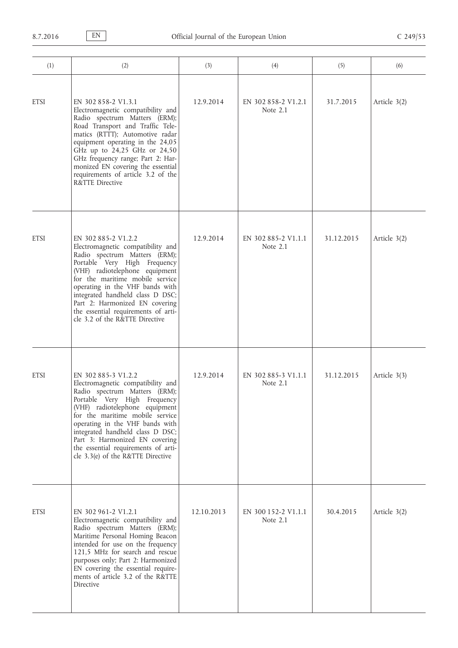| (1)         | (2)                                                                                                                                                                                                                                                                                                                                                                                 | (3)        | (4)                               | (5)        | (6)          |
|-------------|-------------------------------------------------------------------------------------------------------------------------------------------------------------------------------------------------------------------------------------------------------------------------------------------------------------------------------------------------------------------------------------|------------|-----------------------------------|------------|--------------|
| <b>ETSI</b> | EN 302 858-2 V1.3.1<br>Electromagnetic compatibility and<br>Radio spectrum Matters (ERM);<br>Road Transport and Traffic Tele-<br>matics (RTTT); Automotive radar<br>equipment operating in the 24,05<br>GHz up to 24,25 GHz or 24,50<br>GHz frequency range; Part 2: Har-<br>monized EN covering the essential<br>requirements of article 3.2 of the<br>R&TTE Directive             | 12.9.2014  | EN 302 858-2 V1.2.1<br>Note $2.1$ | 31.7.2015  | Article 3(2) |
| <b>ETSI</b> | EN 302 885-2 V1.2.2<br>Electromagnetic compatibility and<br>Radio spectrum Matters (ERM);<br>Portable Very High Frequency<br>(VHF) radiotelephone equipment<br>for the maritime mobile service<br>operating in the VHF bands with<br>integrated handheld class D DSC;<br>Part 2: Harmonized EN covering<br>the essential requirements of arti-<br>cle 3.2 of the R&TTE Directive    | 12.9.2014  | EN 302 885-2 V1.1.1<br>Note $2.1$ | 31.12.2015 | Article 3(2) |
| <b>ETSI</b> | EN 302 885-3 V1.2.2<br>Electromagnetic compatibility and<br>Radio spectrum Matters (ERM);<br>Portable Very High Frequency<br>(VHF) radiotelephone equipment<br>for the maritime mobile service<br>operating in the VHF bands with<br>integrated handheld class D DSC;<br>Part 3: Harmonized EN covering<br>the essential requirements of arti-<br>cle 3.3(e) of the R&TTE Directive | 12.9.2014  | EN 302 885-3 V1.1.1<br>Note $2.1$ | 31.12.2015 | Article 3(3) |
| <b>ETSI</b> | EN 302 961-2 V1.2.1<br>Electromagnetic compatibility and<br>Radio spectrum Matters (ERM);<br>Maritime Personal Homing Beacon<br>intended for use on the frequency<br>121,5 MHz for search and rescue<br>purposes only; Part 2: Harmonized<br>EN covering the essential require-<br>ments of article 3.2 of the R&TTE<br>Directive                                                   | 12.10.2013 | EN 300 152-2 V1.1.1<br>Note 2.1   | 30.4.2015  | Article 3(2) |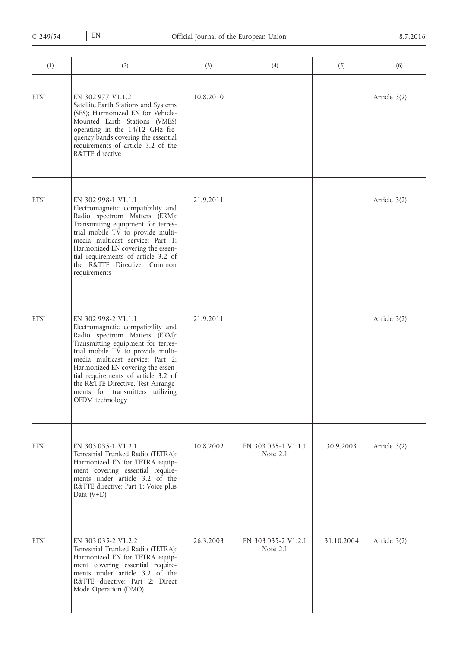| (1)         | (2)                                                                                                                                                                                                                                                                                                                                                                               | (3)       | (4)                             | (5)        | (6)          |
|-------------|-----------------------------------------------------------------------------------------------------------------------------------------------------------------------------------------------------------------------------------------------------------------------------------------------------------------------------------------------------------------------------------|-----------|---------------------------------|------------|--------------|
| <b>ETSI</b> | EN 302 977 V1.1.2<br>Satellite Earth Stations and Systems<br>(SES); Harmonized EN for Vehicle-<br>Mounted Earth Stations (VMES)<br>operating in the 14/12 GHz fre-<br>quency bands covering the essential<br>requirements of article 3.2 of the<br>R&TTE directive                                                                                                                | 10.8.2010 |                                 |            | Article 3(2) |
| <b>ETSI</b> | EN 302 998-1 V1.1.1<br>Electromagnetic compatibility and<br>Radio spectrum Matters (ERM);<br>Transmitting equipment for terres-<br>trial mobile TV to provide multi-<br>media multicast service; Part 1:<br>Harmonized EN covering the essen-<br>tial requirements of article 3.2 of<br>the R&TTE Directive, Common<br>requirements                                               | 21.9.2011 |                                 |            | Article 3(2) |
| <b>ETSI</b> | EN 302 998-2 V1.1.1<br>Electromagnetic compatibility and<br>Radio spectrum Matters (ERM);<br>Transmitting equipment for terres-<br>trial mobile TV to provide multi-<br>media multicast service; Part 2:<br>Harmonized EN covering the essen-<br>tial requirements of article 3.2 of<br>the R&TTE Directive, Test Arrange-<br>ments for transmitters utilizing<br>OFDM technology | 21.9.2011 |                                 |            | Article 3(2) |
| <b>ETSI</b> | EN 303 035-1 V1.2.1<br>Terrestrial Trunked Radio (TETRA);<br>Harmonized EN for TETRA equip-<br>ment covering essential require-<br>ments under article 3.2 of the<br>R&TTE directive; Part 1: Voice plus<br>Data $(V+D)$                                                                                                                                                          | 10.8.2002 | EN 303 035-1 V1.1.1<br>Note 2.1 | 30.9.2003  | Article 3(2) |
| <b>ETSI</b> | EN 303 035-2 V1.2.2<br>Terrestrial Trunked Radio (TETRA);<br>Harmonized EN for TETRA equip-<br>ment covering essential require-<br>ments under article 3.2 of the<br>R&TTE directive; Part 2: Direct<br>Mode Operation (DMO)                                                                                                                                                      | 26.3.2003 | EN 303 035-2 V1.2.1<br>Note 2.1 | 31.10.2004 | Article 3(2) |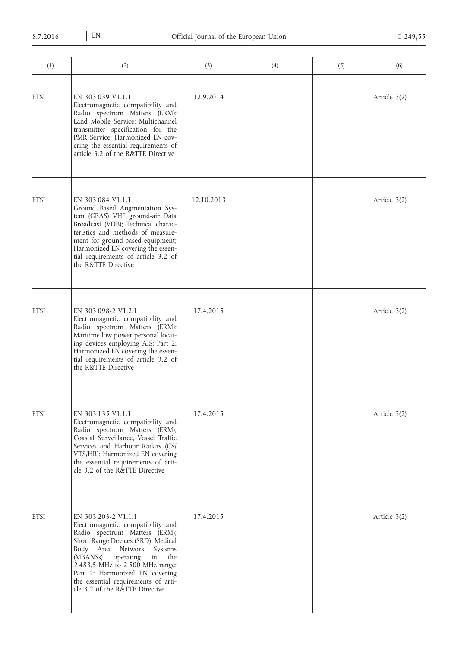| (1)         | (2)                                                                                                                                                                                                                                                                                                                                           | (3)        | (4) | (5) | (6)          |
|-------------|-----------------------------------------------------------------------------------------------------------------------------------------------------------------------------------------------------------------------------------------------------------------------------------------------------------------------------------------------|------------|-----|-----|--------------|
| <b>ETSI</b> | EN 303 039 V1.1.1<br>Electromagnetic compatibility and<br>Radio spectrum Matters (ERM);<br>Land Mobile Service; Multichannel<br>transmitter specification for the<br>PMR Service; Harmonized EN cov-<br>ering the essential requirements of<br>article 3.2 of the R&TTE Directive                                                             | 12.9.2014  |     |     | Article 3(2) |
| <b>ETSI</b> | EN 303 084 V1.1.1<br>Ground Based Augmentation Sys-<br>tem (GBAS) VHF ground-air Data<br>Broadcast (VDB); Technical charac-<br>teristics and methods of measure-<br>ment for ground-based equipment;<br>Harmonized EN covering the essen-<br>tial requirements of article 3.2 of<br>the R&TTE Directive                                       | 12.10.2013 |     |     | Article 3(2) |
| <b>ETSI</b> | EN 303 098-2 V1.2.1<br>Electromagnetic compatibility and<br>Radio spectrum Matters (ERM);<br>Maritime low power personal locat-<br>ing devices employing AIS; Part 2:<br>Harmonized EN covering the essen-<br>tial requirements of article 3.2 of<br>the R&TTE Directive                                                                      | 17.4.2015  |     |     | Article 3(2) |
| <b>ETSI</b> | EN 303 135 V1.1.1<br>Electromagnetic compatibility and<br>Radio spectrum Matters (ERM);<br>Coastal Surveillance, Vessel Traffic<br>Services and Harbour Radars (CS/<br>VTS/HR); Harmonized EN covering<br>the essential requirements of arti-<br>cle 3.2 of the R&TTE Directive                                                               | 17.4.2015  |     |     | Article 3(2) |
| <b>ETSI</b> | EN 303 203-2 V1.1.1<br>Electromagnetic compatibility and<br>Radio spectrum Matters (ERM);<br>Short Range Devices (SRD); Medical<br>Body Area Network Systems<br>(MBANSs) operating<br>the<br>in<br>2 483,5 MHz to 2 500 MHz range;<br>Part 2: Harmonized EN covering<br>the essential requirements of arti-<br>cle 3.2 of the R&TTE Directive | 17.4.2015  |     |     | Article 3(2) |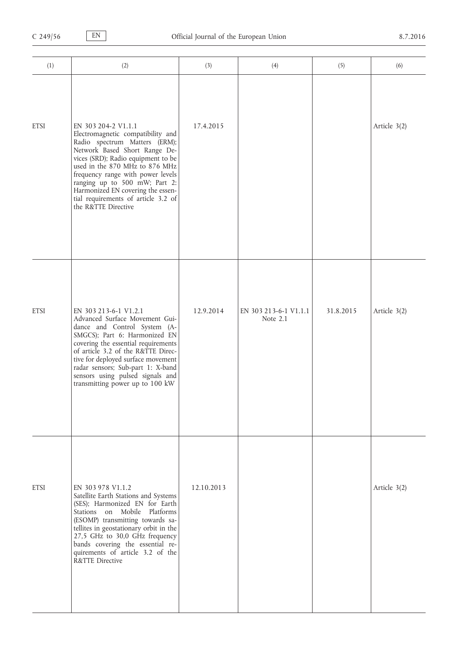| (1)         | (2)                                                                                                                                                                                                                                                                                                                                                                         | (3)        | (4)                               | (5)       | (6)          |
|-------------|-----------------------------------------------------------------------------------------------------------------------------------------------------------------------------------------------------------------------------------------------------------------------------------------------------------------------------------------------------------------------------|------------|-----------------------------------|-----------|--------------|
| <b>ETSI</b> | EN 303 204-2 V1.1.1<br>Electromagnetic compatibility and<br>Radio spectrum Matters (ERM);<br>Network Based Short Range De-<br>vices (SRD); Radio equipment to be<br>used in the 870 MHz to 876 MHz<br>frequency range with power levels<br>ranging up to 500 mW; Part 2:<br>Harmonized EN covering the essen-<br>tial requirements of article 3.2 of<br>the R&TTE Directive | 17.4.2015  |                                   |           | Article 3(2) |
| <b>ETSI</b> | EN 303 213-6-1 V1.2.1<br>Advanced Surface Movement Gui-<br>dance and Control System (A-<br>SMGCS); Part 6: Harmonized EN<br>covering the essential requirements<br>of article 3.2 of the R&TTE Direc-<br>tive for deployed surface movement<br>radar sensors; Sub-part 1: X-band<br>sensors using pulsed signals and<br>transmitting power up to 100 kW                     | 12.9.2014  | EN 303 213-6-1 V1.1.1<br>Note 2.1 | 31.8.2015 | Article 3(2) |
| <b>ETSI</b> | EN 303 978 V1.1.2<br>Satellite Earth Stations and Systems<br>(SES); Harmonized EN for Earth<br>Stations on Mobile Platforms<br>(ESOMP) transmitting towards sa-<br>tellites in geostationary orbit in the<br>27,5 GHz to 30,0 GHz frequency<br>bands covering the essential re-<br>quirements of article 3.2 of the<br><b>R&amp;TTE Directive</b>                           | 12.10.2013 |                                   |           | Article 3(2) |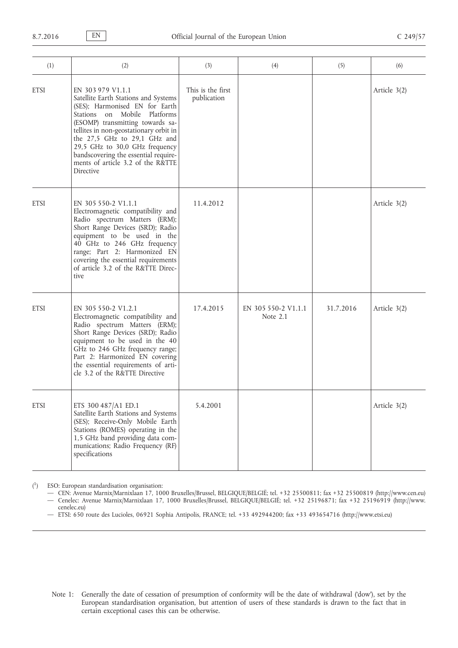| (1)         | (2)                                                                                                                                                                                                                                                                                                                                                                             | (3)                              | (4)                             | (5)       | (6)          |
|-------------|---------------------------------------------------------------------------------------------------------------------------------------------------------------------------------------------------------------------------------------------------------------------------------------------------------------------------------------------------------------------------------|----------------------------------|---------------------------------|-----------|--------------|
| <b>ETSI</b> | EN 303 979 V1.1.1<br>Satellite Earth Stations and Systems<br>(SES); Harmonised EN for Earth<br>on Mobile Platforms<br>Stations<br>(ESOMP) transmitting towards sa-<br>tellites in non-geostationary orbit in<br>the 27,5 GHz to 29,1 GHz and<br>29,5 GHz to 30,0 GHz frequency<br>bandscovering the essential require-<br>ments of article 3.2 of the R&TTE<br><b>Directive</b> | This is the first<br>publication |                                 |           | Article 3(2) |
| <b>ETSI</b> | EN 305 550-2 V1.1.1<br>Electromagnetic compatibility and<br>Radio spectrum Matters (ERM);<br>Short Range Devices (SRD); Radio<br>equipment to be used in the<br>40 GHz to 246 GHz frequency<br>range; Part 2: Harmonized EN<br>covering the essential requirements<br>of article 3.2 of the R&TTE Direc-<br>tive                                                                | 11.4.2012                        |                                 |           | Article 3(2) |
| <b>ETSI</b> | EN 305 550-2 V1.2.1<br>Electromagnetic compatibility and<br>Radio spectrum Matters (ERM);<br>Short Range Devices (SRD); Radio<br>equipment to be used in the 40<br>GHz to 246 GHz frequency range;<br>Part 2: Harmonized EN covering<br>the essential requirements of arti-<br>cle 3.2 of the R&TTE Directive                                                                   | 17.4.2015                        | EN 305 550-2 V1.1.1<br>Note 2.1 | 31.7.2016 | Article 3(2) |
| <b>ETSI</b> | ETS 300 487/A1 ED.1<br>Satellite Earth Stations and Systems<br>(SES); Receive-Only Mobile Earth<br>Stations (ROMES) operating in the<br>1,5 GHz band providing data com-<br>munications; Radio Frequency (RF)<br>specifications                                                                                                                                                 | 5.4.2001                         |                                 |           | Article 3(2) |

 $($ <sup>1</sup> ) ESO: European standardisation organisation:

— CEN: Avenue Marnix/Marnixlaan 17, 1000 Bruxelles/Brussel, BELGIQUE/BELGIË; tel. +32 25500811; fax +32 25500819 [\(http://www.cen.eu\)](http://www.cen.eu) — Cenelec: Avenue Marnix/Marnixlaan 17, 1000 Bruxelles/Brussel, BELGIQUE/BELGIË; tel. +32 25196871; fax +32 25196919 ([http://www.](http://www.cenelec.eu) [cenelec.eu\)](http://www.cenelec.eu)

— ETSI: 650 route des Lucioles, 06921 Sophia Antipolis, FRANCE; tel. +33 492944200; fax +33 493654716 [\(http://www.etsi.eu\)](http://www.etsi.eu)

Note 1: Generally the date of cessation of presumption of conformity will be the date of withdrawal ('dow'), set by the European standardisation organisation, but attention of users of these standards is drawn to the fact that in certain exceptional cases this can be otherwise.